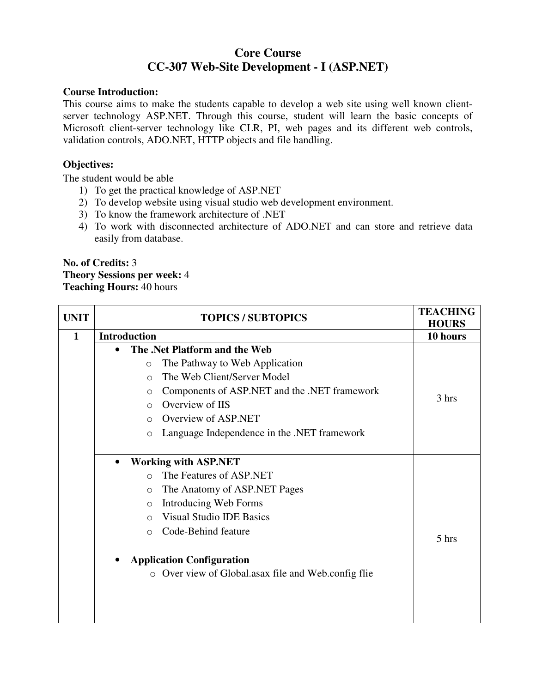# **Core Course CC-307 Web-Site Development - I (ASP.NET)**

### **Course Introduction:**

This course aims to make the students capable to develop a web site using well known clientserver technology ASP.NET. Through this course, student will learn the basic concepts of Microsoft client-server technology like CLR, PI, web pages and its different web controls, validation controls, ADO.NET, HTTP objects and file handling.

## **Objectives:**

The student would be able

- 1) To get the practical knowledge of ASP.NET
- 2) To develop website using visual studio web development environment.
- 3) To know the framework architecture of .NET
- 4) To work with disconnected architecture of ADO.NET and can store and retrieve data easily from database.

# **No. of Credits:** 3 **Theory Sessions per week:** 4 **Teaching Hours:** 40 hours

| <b>UNIT</b>  | <b>TOPICS / SUBTOPICS</b>                                                                                                                                                                                                                                                                                                                                 | <b>TEACHING</b><br><b>HOURS</b> |
|--------------|-----------------------------------------------------------------------------------------------------------------------------------------------------------------------------------------------------------------------------------------------------------------------------------------------------------------------------------------------------------|---------------------------------|
| $\mathbf{1}$ | <b>Introduction</b>                                                                                                                                                                                                                                                                                                                                       | 10 hours                        |
|              | The .Net Platform and the Web<br>The Pathway to Web Application<br>$\circ$<br>The Web Client/Server Model<br>$\bigcirc$<br>Components of ASP.NET and the .NET framework<br>$\circ$<br>Overview of IIS<br>$\bigcirc$<br>Overview of ASP.NET<br>$\bigcirc$<br>Language Independence in the .NET framework<br>$\circ$                                        | 3 hrs                           |
|              | <b>Working with ASP.NET</b><br>$\bullet$<br>The Features of ASP.NET<br>$\bigcap$<br>The Anatomy of ASP.NET Pages<br>$\circ$<br>Introducing Web Forms<br>$\circ$<br><b>Visual Studio IDE Basics</b><br>$\bigcirc$<br>Code-Behind feature<br>$\bigcirc$<br><b>Application Configuration</b><br>Over view of Global.asax file and Web.config flie<br>$\circ$ | 5 hrs                           |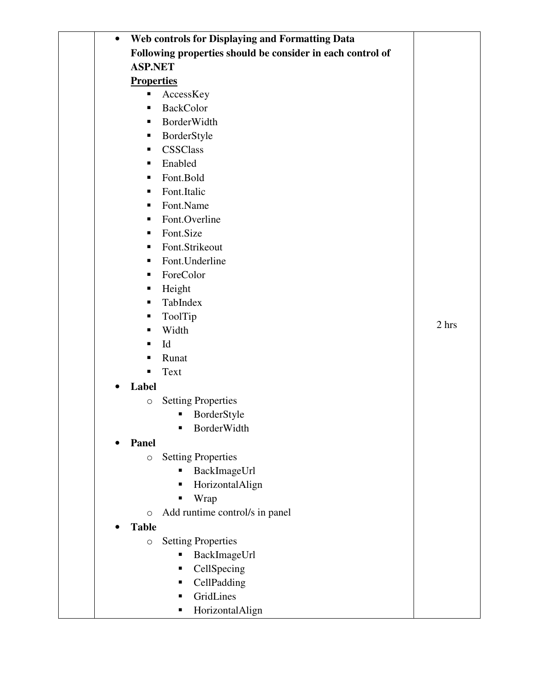| $\bullet$ | Web controls for Displaying and Formatting Data            |       |
|-----------|------------------------------------------------------------|-------|
|           | Following properties should be consider in each control of |       |
|           | <b>ASP.NET</b>                                             |       |
|           | <b>Properties</b>                                          |       |
|           | AccessKey<br>п                                             |       |
|           | <b>BackColor</b><br>٠                                      |       |
|           | BorderWidth<br>٠                                           |       |
|           | BorderStyle<br>ш                                           |       |
|           | <b>CSSClass</b><br>٠                                       |       |
|           | Enabled<br>٠                                               |       |
|           | Font.Bold<br>٠                                             |       |
|           | Font.Italic<br>٠                                           |       |
|           | Font.Name<br>٠                                             |       |
|           | Font.Overline<br>٠                                         |       |
|           | Font.Size<br>٠                                             |       |
|           | Font.Strikeout<br>٠                                        |       |
|           | Font.Underline<br>٠                                        |       |
|           | ForeColor<br>٠                                             |       |
|           | Height<br>п                                                |       |
|           | TabIndex<br>٠                                              |       |
|           | ToolTip<br>٠                                               |       |
|           | Width<br>٠                                                 | 2 hrs |
|           | Id<br>٠                                                    |       |
|           | Runat<br>п                                                 |       |
|           | Text<br>٠                                                  |       |
| $\bullet$ | Label                                                      |       |
|           | <b>Setting Properties</b><br>$\circlearrowright$           |       |
|           | BorderStyle<br>п                                           |       |
|           | BorderWidth                                                |       |
|           | <b>Panel</b>                                               |       |
|           | <b>Setting Properties</b><br>$\bigcirc$                    |       |
|           | BackImageUrl<br>п                                          |       |
|           | HorizontalAlign<br>П                                       |       |
|           | Wrap<br>٠                                                  |       |
|           | Add runtime control/s in panel<br>$\circ$                  |       |
|           | <b>Table</b>                                               |       |
|           | <b>Setting Properties</b><br>$\bigcirc$                    |       |
|           | BackImageUrl<br>п                                          |       |
|           | CellSpecing<br>п                                           |       |
|           | CellPadding<br>п                                           |       |
|           | GridLines<br>п                                             |       |
|           | HorizontalAlign<br>п                                       |       |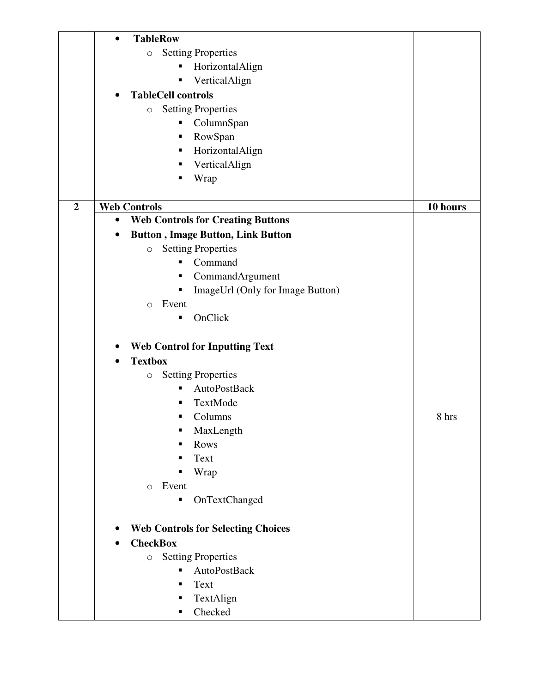|                  | <b>TableRow</b><br>$\bullet$                          |          |
|------------------|-------------------------------------------------------|----------|
|                  | <b>Setting Properties</b><br>$\circ$                  |          |
|                  | HorizontalAlign<br>Ξ                                  |          |
|                  | VerticalAlign<br>п                                    |          |
|                  | <b>TableCell controls</b><br>$\bullet$                |          |
|                  | <b>Setting Properties</b><br>$\bigcirc$               |          |
|                  | ColumnSpan<br>п                                       |          |
|                  | RowSpan<br>Е                                          |          |
|                  | HorizontalAlign<br>п                                  |          |
|                  | VerticalAlign<br>п                                    |          |
|                  | Wrap<br>п                                             |          |
|                  |                                                       |          |
| $\boldsymbol{2}$ | <b>Web Controls</b>                                   | 10 hours |
|                  | <b>Web Controls for Creating Buttons</b><br>$\bullet$ |          |
|                  | <b>Button, Image Button, Link Button</b>              |          |
|                  | <b>Setting Properties</b><br>$\bigcirc$               |          |
|                  | Command<br>п                                          |          |
|                  | CommandArgument<br>п                                  |          |
|                  | ImageUrl (Only for Image Button)<br>Е                 |          |
|                  | Event<br>$\circ$                                      |          |
|                  | OnClick<br>п                                          |          |
|                  |                                                       |          |
|                  | <b>Web Control for Inputting Text</b>                 |          |
|                  | <b>Textbox</b><br>$\bullet$                           |          |
|                  | <b>Setting Properties</b><br>$\bigcirc$               |          |
|                  | <b>AutoPostBack</b><br>п                              |          |
|                  | TextMode                                              |          |
|                  | Columns                                               | 8 hrs    |
|                  | MaxLength<br>п                                        |          |
|                  | Rows                                                  |          |
|                  | Text                                                  |          |
|                  | Wrap<br>п                                             |          |
|                  | Event<br>$\Omega$                                     |          |
|                  | OnTextChanged<br>п                                    |          |
|                  |                                                       |          |
|                  | <b>Web Controls for Selecting Choices</b>             |          |
|                  | <b>CheckBox</b>                                       |          |
|                  | <b>Setting Properties</b><br>$\circ$                  |          |
|                  | AutoPostBack<br>П                                     |          |
|                  | Text<br>п                                             |          |
|                  | TextAlign<br>Е                                        |          |
|                  | Checked<br>п                                          |          |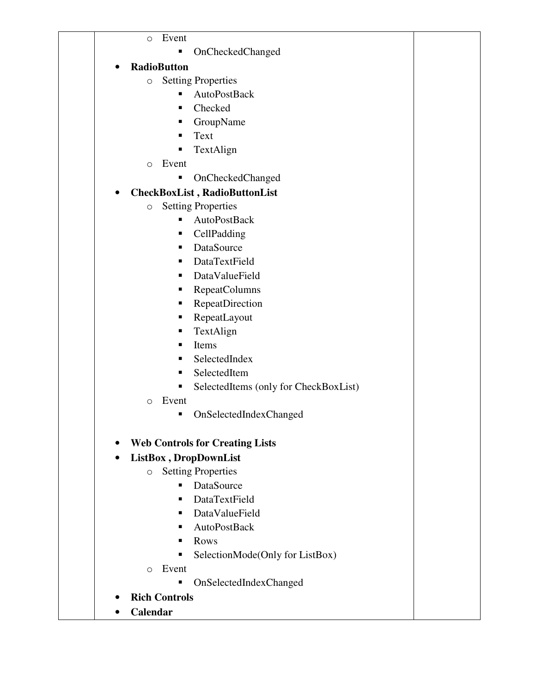o Event

- OnCheckedChanged
- **RadioButton** 
	- o Setting Properties
		- AutoPostBack
		- Checked
		- **GroupName**
		- **Text**
		- **TextAlign**
	- o Event
		- OnCheckedChanged

# • **CheckBoxList , RadioButtonList**

- o Setting Properties
	- AutoPostBack
	- CellPadding
	- DataSource
	- **DataTextField**
	- DataValueField
	- RepeatColumns
	- RepeatDirection
	- RepeatLayout
	- **TextAlign**
	- $\blacksquare$  Items
	- SelectedIndex
	- SelectedItem
	- SelectedItems (only for CheckBoxList)
- o Event
	- OnSelectedIndexChanged
- **Web Controls for Creating Lists**

# • **ListBox , DropDownList**

- o Setting Properties
	- DataSource
	- DataTextField
	- DataValueField
	- AutoPostBack
	- **Rows**
	- SelectionMode(Only for ListBox)
- o Event
	- OnSelectedIndexChanged
- **Rich Controls**
- **Calendar**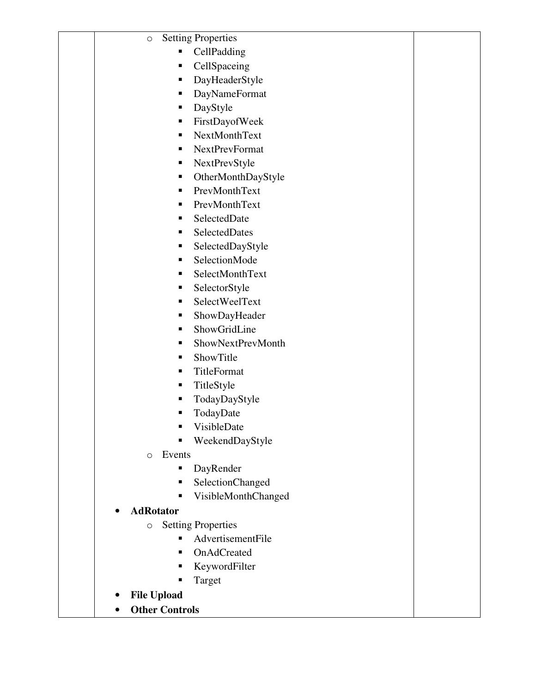| <b>Setting Properties</b><br>$\circ$ |  |
|--------------------------------------|--|
| CellPadding<br>٠                     |  |
| CellSpaceing<br>п                    |  |
| DayHeaderStyle<br>п                  |  |
| DayNameFormat<br>٠                   |  |
| DayStyle<br>٠                        |  |
| FirstDayofWeek<br>п                  |  |
| NextMonthText<br>٠                   |  |
| <b>NextPrevFormat</b><br>٠           |  |
| NextPrevStyle<br>п                   |  |
| OtherMonthDayStyle<br>٠              |  |
| PrevMonthText<br>п                   |  |
| PrevMonthText<br>٠                   |  |
| SelectedDate<br>п                    |  |
| SelectedDates<br>٠                   |  |
| SelectedDayStyle<br>٠                |  |
| SelectionMode<br>п                   |  |
| SelectMonthText<br>٠                 |  |
| SelectorStyle<br>٠                   |  |
| SelectWeelText<br>٠                  |  |
| ShowDayHeader<br>٠                   |  |
| ShowGridLine<br>п                    |  |
| ShowNextPrevMonth<br>п               |  |
| ShowTitle<br>٠                       |  |
| TitleFormat<br>٠                     |  |
| TitleStyle<br>п                      |  |
| TodayDayStyle<br>п                   |  |
| TodayDate<br>п                       |  |
| VisibleDate<br>п                     |  |
| WeekendDayStyle<br>п                 |  |
| Events<br>$\Omega$                   |  |
| DayRender<br>п                       |  |
| <b>SelectionChanged</b><br>п         |  |
| VisibleMonthChanged<br>٠             |  |
| <b>AdRotator</b>                     |  |
| <b>Setting Properties</b><br>O       |  |
| AdvertisementFile<br>٠               |  |
| OnAdCreated<br>٠                     |  |
| KeywordFilter<br>٠                   |  |
| Target<br>п                          |  |
| <b>File Upload</b>                   |  |
| <b>Other Controls</b>                |  |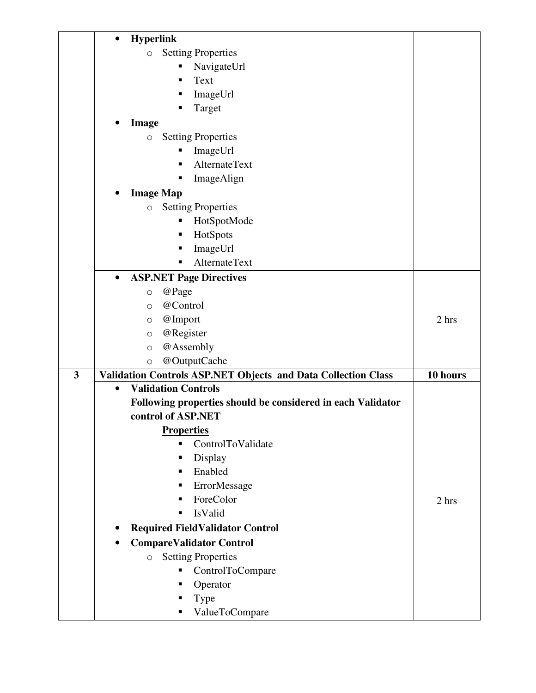|                         | $\bullet$ | <b>Hyperlink</b>                                                     |          |
|-------------------------|-----------|----------------------------------------------------------------------|----------|
|                         |           | <b>Setting Properties</b><br>$\circ$                                 |          |
|                         |           | NavigateUrl<br>п                                                     |          |
|                         |           | Text<br>п                                                            |          |
|                         |           | ImageUrl<br>ш                                                        |          |
|                         |           | Target<br>■                                                          |          |
|                         |           | Image                                                                |          |
|                         |           | <b>Setting Properties</b><br>$\bigcirc$                              |          |
|                         |           | ImageUrl<br>п                                                        |          |
|                         |           | AlternateText<br>п                                                   |          |
|                         |           | ImageAlign<br>ш                                                      |          |
|                         |           | <b>Image Map</b>                                                     |          |
|                         |           | <b>Setting Properties</b><br>$\bigcirc$                              |          |
|                         |           | HotSpotMode<br>п                                                     |          |
|                         |           | HotSpots<br>Ξ                                                        |          |
|                         |           | ImageUrl<br>п                                                        |          |
|                         |           | <b>AlternateText</b><br>п                                            |          |
|                         | $\bullet$ | <b>ASP.NET Page Directives</b>                                       |          |
|                         |           | @Page<br>$\bigcirc$                                                  |          |
|                         |           | @Control<br>$\circ$                                                  |          |
|                         |           | @Import<br>$\circlearrowright$                                       | 2 hrs    |
|                         |           | @Register<br>$\circlearrowright$                                     |          |
|                         |           | @Assembly<br>$\circ$                                                 |          |
|                         |           | @OutputCache<br>$\circ$                                              |          |
| $\overline{\mathbf{3}}$ |           | <b>Validation Controls ASP.NET Objects and Data Collection Class</b> | 10 hours |
|                         | $\bullet$ | <b>Validation Controls</b>                                           |          |
|                         |           | Following properties should be considered in each Validator          |          |
|                         |           | control of ASP.NET                                                   |          |
|                         |           | <b>Properties</b>                                                    |          |
|                         |           | ControlToValidate<br>$\blacksquare$                                  |          |
|                         |           | Display<br>٠                                                         |          |
|                         |           | Enabled<br>٠                                                         |          |
|                         |           | ErrorMessage<br>п                                                    |          |
|                         |           | ForeColor<br>٠                                                       | 2 hrs    |
|                         |           | IsValid<br>٠                                                         |          |
|                         |           | <b>Required FieldValidator Control</b>                               |          |
|                         |           | <b>CompareValidator Control</b>                                      |          |
|                         |           | <b>Setting Properties</b><br>$\circ$                                 |          |
|                         |           | ControlToCompare<br>п                                                |          |
|                         |           | Operator<br>п                                                        |          |
|                         |           | Type<br>п                                                            |          |
|                         |           | ValueToCompare<br>п                                                  |          |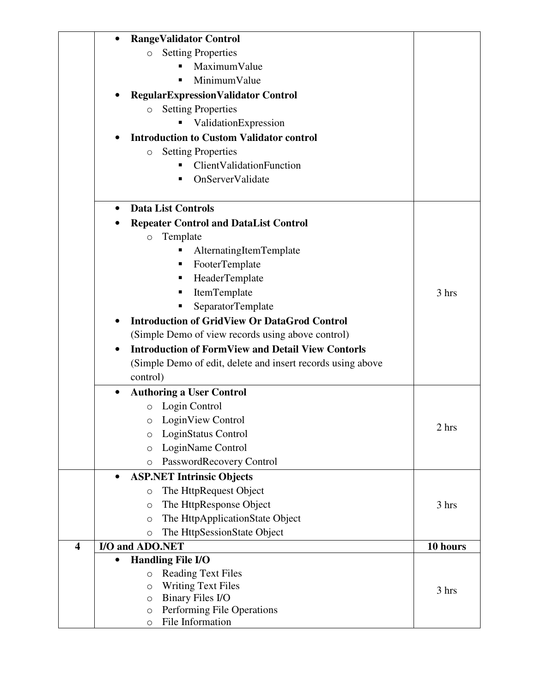|                         | <b>RangeValidator Control</b>                               |          |
|-------------------------|-------------------------------------------------------------|----------|
|                         | <b>Setting Properties</b><br>$\circ$                        |          |
|                         | MaximumValue                                                |          |
|                         | MinimumValue                                                |          |
|                         | <b>Regular Expression Validator Control</b>                 |          |
|                         | <b>Setting Properties</b><br>$\circ$                        |          |
|                         | ValidationExpression                                        |          |
|                         | <b>Introduction to Custom Validator control</b>             |          |
|                         | <b>Setting Properties</b><br>$\circ$                        |          |
|                         | ClientValidationFunction                                    |          |
|                         | OnServerValidate                                            |          |
|                         | <b>Data List Controls</b><br>$\bullet$                      |          |
|                         | <b>Repeater Control and DataList Control</b>                |          |
|                         | Template<br>$\circ$                                         |          |
|                         | AlternatingItemTemplate                                     |          |
|                         | FooterTemplate<br>ш                                         |          |
|                         | HeaderTemplate<br>ш                                         |          |
|                         | ItemTemplate<br>п                                           | 3 hrs    |
|                         | SeparatorTemplate<br>п                                      |          |
|                         | <b>Introduction of GridView Or DataGrod Control</b>         |          |
|                         |                                                             |          |
|                         | (Simple Demo of view records using above control)           |          |
|                         | <b>Introduction of FormView and Detail View Contorls</b>    |          |
|                         | (Simple Demo of edit, delete and insert records using above |          |
|                         | control)                                                    |          |
|                         | <b>Authoring a User Control</b>                             |          |
|                         | Login Control<br>$\circ$                                    |          |
|                         | o LoginView Control                                         | 2 hrs    |
|                         | LoginStatus Control<br>$\circ$                              |          |
|                         | LoginName Control<br>$\circ$                                |          |
|                         | PasswordRecovery Control<br>$\circ$                         |          |
|                         | <b>ASP.NET Intrinsic Objects</b><br>$\bullet$               |          |
|                         | The HttpRequest Object<br>$\circ$                           |          |
|                         | The HttpResponse Object<br>$\circ$                          | 3 hrs    |
|                         | The HttpApplicationState Object<br>$\circ$                  |          |
|                         | The HttpSessionState Object<br>$\circ$                      |          |
| $\overline{\mathbf{4}}$ | I/O and ADO.NET                                             | 10 hours |
|                         | <b>Handling File I/O</b>                                    |          |
|                         | <b>Reading Text Files</b><br>$\circlearrowright$            |          |
|                         | <b>Writing Text Files</b><br>$\circ$                        | 3 hrs    |
|                         | Binary Files I/O<br>$\circ$                                 |          |
|                         | Performing File Operations<br>$\circ$                       |          |
|                         | File Information<br>$\circ$                                 |          |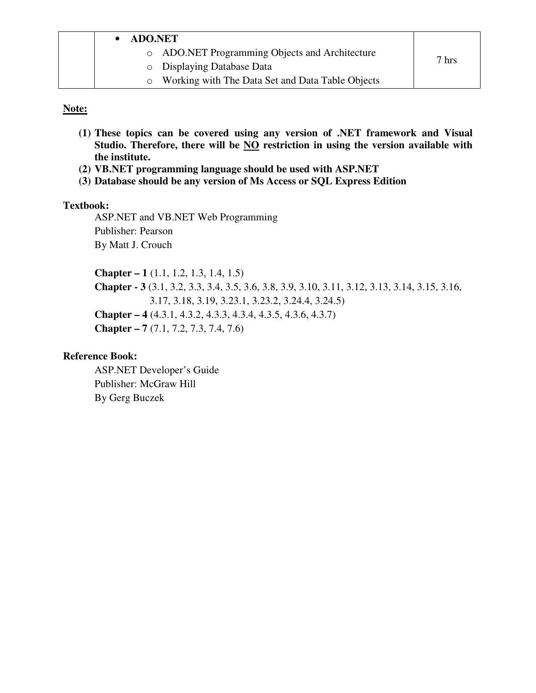| <b>ADO.NET</b>                                   |       |
|--------------------------------------------------|-------|
| o ADO.NET Programming Objects and Architecture   |       |
| <b>O</b> Displaying Database Data                | 7 hrs |
| Working with The Data Set and Data Table Objects |       |

#### **Note:**

- **(1) These topics can be covered using any version of .NET framework and Visual Studio. Therefore, there will be NO restriction in using the version available with the institute.**
- **(2) VB.NET programming language should be used with ASP.NET**
- **(3) Database should be any version of Ms Access or SQL Express Edition**

#### **Textbook:**

ASP.NET and VB.NET Web Programming Publisher: Pearson By Matt J. Crouch

**Chapter – 1** (1.1, 1.2, 1.3, 1.4, 1.5) **Chapter - 3** (3.1, 3.2, 3.3, 3.4, 3.5, 3.6, 3.8, 3.9, 3.10, 3.11, 3.12, 3.13, 3.14, 3.15, 3.16, 3.17, 3.18, 3.19, 3.23.1, 3.23.2, 3.24.4, 3.24.5) **Chapter – 4** (4.3.1, 4.3.2, 4.3.3, 4.3.4, 4.3.5, 4.3.6, 4.3.7) **Chapter – 7** (7.1, 7.2, 7.3, 7.4, 7.6)

#### **Reference Book:**

ASP.NET Developer's Guide Publisher: McGraw Hill By Gerg Buczek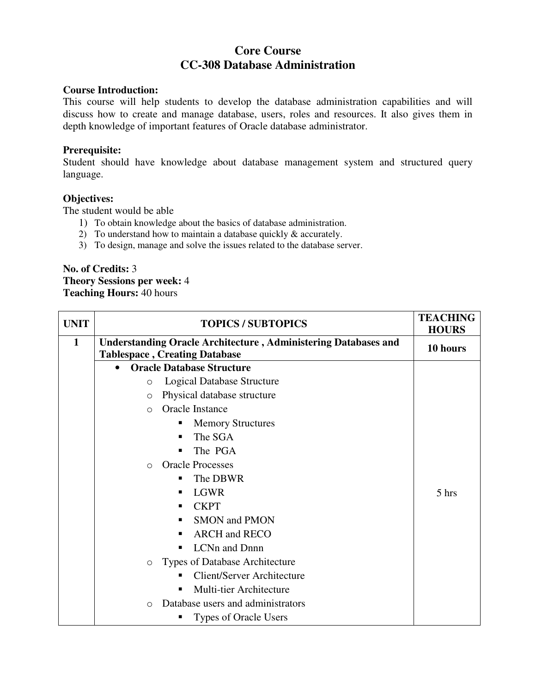# **Core Course CC-308 Database Administration**

#### **Course Introduction:**

This course will help students to develop the database administration capabilities and will discuss how to create and manage database, users, roles and resources. It also gives them in depth knowledge of important features of Oracle database administrator.

#### **Prerequisite:**

Student should have knowledge about database management system and structured query language.

#### **Objectives:**

The student would be able

- 1) To obtain knowledge about the basics of database administration.
- 2) To understand how to maintain a database quickly  $\&$  accurately.
- 3) To design, manage and solve the issues related to the database server.

**No. of Credits:** 3 **Theory Sessions per week:** 4 **Teaching Hours:** 40 hours

| <b>UNIT</b>  | <b>TOPICS / SUBTOPICS</b>                                                                                     | <b>TEACHING</b><br><b>HOURS</b> |
|--------------|---------------------------------------------------------------------------------------------------------------|---------------------------------|
| $\mathbf{1}$ | <b>Understanding Oracle Architecture, Administering Databases and</b><br><b>Tablespace, Creating Database</b> | 10 hours                        |
|              | <b>Oracle Database Structure</b>                                                                              |                                 |
|              | <b>Logical Database Structure</b><br>$\circ$                                                                  |                                 |
|              | Physical database structure<br>$\circ$                                                                        |                                 |
|              | Oracle Instance<br>$\bigcirc$                                                                                 |                                 |
|              | <b>Memory Structures</b><br>٠                                                                                 |                                 |
|              | The SGA<br>п                                                                                                  |                                 |
|              | The PGA                                                                                                       |                                 |
|              | <b>Oracle Processes</b><br>$\Omega$                                                                           |                                 |
|              | The DBWR<br>п                                                                                                 |                                 |
|              | <b>LGWR</b><br>п                                                                                              | $5$ hrs                         |
|              | <b>CKPT</b><br>п                                                                                              |                                 |
|              | <b>SMON</b> and PMON<br>٠                                                                                     |                                 |
|              | <b>ARCH</b> and <b>RECO</b>                                                                                   |                                 |
|              | LCNn and Dnnn<br>п                                                                                            |                                 |
|              | Types of Database Architecture<br>$\circ$                                                                     |                                 |
|              | <b>Client/Server Architecture</b>                                                                             |                                 |
|              | Multi-tier Architecture<br>$\blacksquare$                                                                     |                                 |
|              | Database users and administrators<br>$\bigcirc$                                                               |                                 |
|              | Types of Oracle Users                                                                                         |                                 |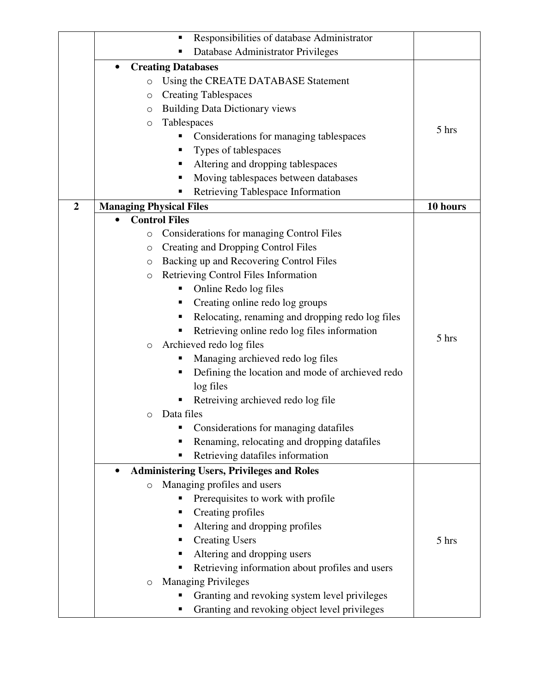|                  | Responsibilities of database Administrator<br>п               |          |
|------------------|---------------------------------------------------------------|----------|
|                  | Database Administrator Privileges                             |          |
|                  | <b>Creating Databases</b><br>$\bullet$                        |          |
|                  | Using the CREATE DATABASE Statement<br>$\circ$                |          |
|                  | <b>Creating Tablespaces</b><br>$\circ$                        |          |
|                  | <b>Building Data Dictionary views</b><br>O                    |          |
|                  | Tablespaces<br>$\circ$                                        |          |
|                  | Considerations for managing tablespaces<br>п                  | 5 hrs    |
|                  | Types of tablespaces                                          |          |
|                  | Altering and dropping tablespaces                             |          |
|                  | Moving tablespaces between databases                          |          |
|                  | Retrieving Tablespace Information                             |          |
| $\boldsymbol{2}$ | <b>Managing Physical Files</b>                                | 10 hours |
|                  | <b>Control Files</b>                                          |          |
|                  | Considerations for managing Control Files<br>O                |          |
|                  | <b>Creating and Dropping Control Files</b><br>$\circ$         |          |
|                  | Backing up and Recovering Control Files<br>$\circ$            |          |
|                  | Retrieving Control Files Information<br>$\circ$               |          |
|                  | Online Redo log files<br>п                                    |          |
|                  | Creating online redo log groups<br>٠                          |          |
|                  | Relocating, renaming and dropping redo log files<br>п         |          |
|                  |                                                               |          |
|                  | Retrieving online redo log files information                  | 5 hrs    |
|                  | Archieved redo log files<br>$\circ$                           |          |
|                  | Managing archieved redo log files                             |          |
|                  | Defining the location and mode of archieved redo              |          |
|                  | log files                                                     |          |
|                  | Retreiving archieved redo log file                            |          |
|                  | Data files<br>О                                               |          |
|                  | Considerations for managing datafiles                         |          |
|                  | Renaming, relocating and dropping datafiles                   |          |
|                  | Retrieving datafiles information                              |          |
|                  | <b>Administering Users, Privileges and Roles</b><br>$\bullet$ |          |
|                  | Managing profiles and users<br>$\circ$                        |          |
|                  | Prerequisites to work with profile                            |          |
|                  | Creating profiles                                             |          |
|                  | Altering and dropping profiles                                |          |
|                  | <b>Creating Users</b><br>п                                    | 5 hrs    |
|                  | Altering and dropping users                                   |          |
|                  | Retrieving information about profiles and users               |          |
|                  | <b>Managing Privileges</b><br>O                               |          |
|                  | Granting and revoking system level privileges                 |          |
|                  | Granting and revoking object level privileges                 |          |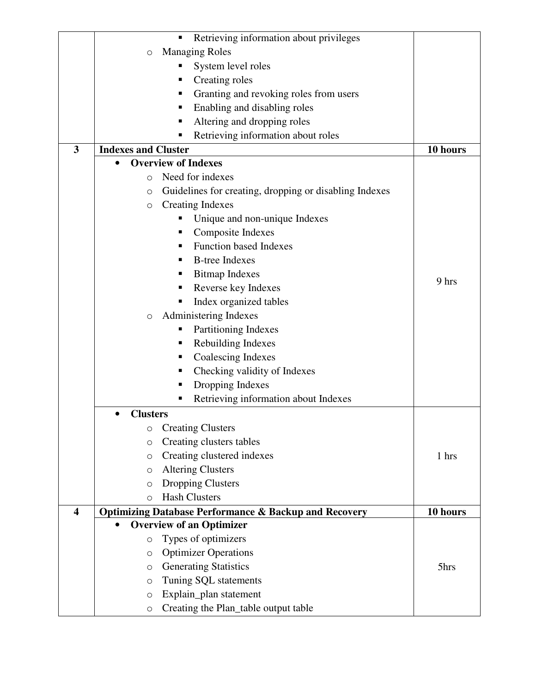|                         |                            | Retrieving information about privileges<br>П                     |          |
|-------------------------|----------------------------|------------------------------------------------------------------|----------|
|                         | $\circ$                    | <b>Managing Roles</b>                                            |          |
|                         |                            | System level roles                                               |          |
|                         |                            | Creating roles<br>п                                              |          |
|                         |                            | Granting and revoking roles from users<br>ш                      |          |
|                         |                            | Enabling and disabling roles<br>٠                                |          |
|                         |                            | Altering and dropping roles<br>п                                 |          |
|                         |                            | Retrieving information about roles                               |          |
| 3                       | <b>Indexes and Cluster</b> |                                                                  | 10 hours |
|                         |                            | <b>Overview of Indexes</b>                                       |          |
|                         | O                          | Need for indexes                                                 |          |
|                         | $\circ$                    | Guidelines for creating, dropping or disabling Indexes           |          |
|                         | $\circ$                    | <b>Creating Indexes</b>                                          |          |
|                         |                            | Unique and non-unique Indexes                                    |          |
|                         |                            | Composite Indexes<br>п                                           |          |
|                         |                            | <b>Function based Indexes</b><br>п                               |          |
|                         |                            | <b>B-tree Indexes</b><br>٠                                       |          |
|                         |                            | <b>Bitmap Indexes</b><br>٠                                       |          |
|                         |                            | Reverse key Indexes                                              | 9 hrs    |
|                         |                            | Index organized tables                                           |          |
|                         | $\circ$                    | Administering Indexes                                            |          |
|                         |                            | Partitioning Indexes                                             |          |
|                         |                            | Rebuilding Indexes<br>ш                                          |          |
|                         |                            | Coalescing Indexes<br>п                                          |          |
|                         |                            | Checking validity of Indexes                                     |          |
|                         |                            | Dropping Indexes<br>п                                            |          |
|                         |                            | Retrieving information about Indexes<br>п                        |          |
|                         | <b>Clusters</b>            |                                                                  |          |
|                         | O                          | <b>Creating Clusters</b>                                         |          |
|                         | $\circ$                    | Creating clusters tables                                         |          |
|                         | O                          | Creating clustered indexes                                       | 1 hrs    |
|                         | $\circ$                    | <b>Altering Clusters</b>                                         |          |
|                         | $\circ$                    | <b>Dropping Clusters</b>                                         |          |
|                         | $\circ$                    | <b>Hash Clusters</b>                                             |          |
| $\overline{\mathbf{4}}$ |                            | <b>Optimizing Database Performance &amp; Backup and Recovery</b> | 10 hours |
|                         |                            | <b>Overview of an Optimizer</b>                                  |          |
|                         | O                          | Types of optimizers                                              |          |
|                         | $\circ$                    | <b>Optimizer Operations</b>                                      |          |
|                         | $\circ$                    | <b>Generating Statistics</b>                                     | 5hrs     |
|                         | $\circ$                    | Tuning SQL statements                                            |          |
|                         | $\circ$                    | Explain_plan statement                                           |          |
|                         | $\bigcirc$                 | Creating the Plan_table output table                             |          |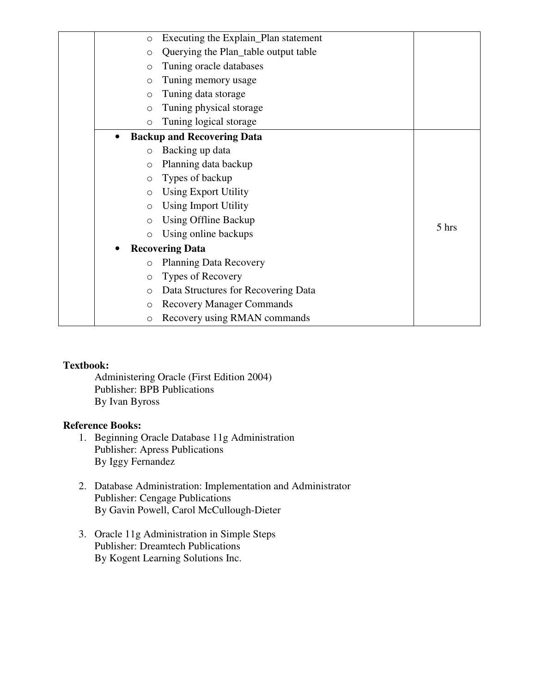|           | $\circ$             | Executing the Explain_Plan statement |       |
|-----------|---------------------|--------------------------------------|-------|
|           | $\circ$             | Querying the Plan_table output table |       |
|           | $\circ$             | Tuning oracle databases              |       |
|           | $\circ$             | Tuning memory usage                  |       |
|           | $\circ$             | Tuning data storage                  |       |
|           | $\circ$             | Tuning physical storage              |       |
|           | $\circ$             | Tuning logical storage               |       |
| $\bullet$ |                     | <b>Backup and Recovering Data</b>    |       |
|           | $\circ$             | Backing up data                      |       |
|           | $\circ$             | Planning data backup                 |       |
|           | $\circ$             | Types of backup                      |       |
|           | $\circ$             | <b>Using Export Utility</b>          |       |
|           | $\circ$             | <b>Using Import Utility</b>          |       |
|           | $\circ$             | Using Offline Backup                 | 5 hrs |
|           | $\circ$             | Using online backups                 |       |
|           |                     | <b>Recovering Data</b>               |       |
|           | $\circlearrowright$ | <b>Planning Data Recovery</b>        |       |
|           | $\circ$             | Types of Recovery                    |       |
|           | $\circ$             | Data Structures for Recovering Data  |       |
|           | $\circ$             | <b>Recovery Manager Commands</b>     |       |
|           | $\circ$             | Recovery using RMAN commands         |       |

Administering Oracle (First Edition 2004) Publisher: BPB Publications By Ivan Byross

- 1. Beginning Oracle Database 11g Administration Publisher: Apress Publications By Iggy Fernandez
- 2. Database Administration: Implementation and Administrator Publisher: Cengage Publications By Gavin Powell, Carol McCullough-Dieter
- 3. Oracle 11g Administration in Simple Steps Publisher: Dreamtech Publications By Kogent Learning Solutions Inc.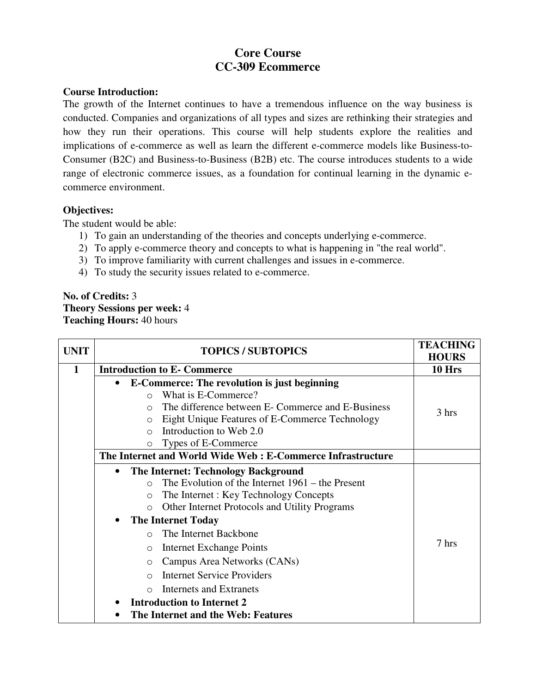# **Core Course CC-309 Ecommerce**

### **Course Introduction:**

The growth of the Internet continues to have a tremendous influence on the way business is conducted. Companies and organizations of all types and sizes are rethinking their strategies and how they run their operations. This course will help students explore the realities and implications of e-commerce as well as learn the different e-commerce models like Business-to-Consumer (B2C) and Business-to-Business (B2B) etc. The course introduces students to a wide range of electronic commerce issues, as a foundation for continual learning in the dynamic ecommerce environment.

## **Objectives:**

The student would be able:

- 1) To gain an understanding of the theories and concepts underlying e-commerce.
- 2) To apply e-commerce theory and concepts to what is happening in "the real world".
- 3) To improve familiarity with current challenges and issues in e-commerce.
- 4) To study the security issues related to e-commerce.

## **No. of Credits:** 3 **Theory Sessions per week:** 4 **Teaching Hours:** 40 hours

| <b>UNIT</b> | <b>TOPICS / SUBTOPICS</b>                                        | <b>TEACHING</b><br><b>HOURS</b> |
|-------------|------------------------------------------------------------------|---------------------------------|
| 1           | <b>Introduction to E- Commerce</b>                               | 10 Hrs                          |
|             | <b>E-Commerce: The revolution is just beginning</b><br>$\bullet$ |                                 |
|             | What is E-Commerce?<br>$\bigcap$                                 |                                 |
|             | The difference between E- Commerce and E-Business<br>$\bigcirc$  | 3 hrs                           |
|             | Eight Unique Features of E-Commerce Technology<br>$\Omega$       |                                 |
|             | Introduction to Web 2.0<br>$\bigcap$                             |                                 |
|             | Types of E-Commerce<br>$\circ$                                   |                                 |
|             | The Internet and World Wide Web: E-Commerce Infrastructure       |                                 |
|             | <b>The Internet: Technology Background</b><br>$\bullet$          |                                 |
|             | The Evolution of the Internet $1961 -$ the Present<br>$\bigcirc$ |                                 |
|             | The Internet: Key Technology Concepts<br>$\circ$                 |                                 |
|             | Other Internet Protocols and Utility Programs<br>$\Omega$        |                                 |
|             | <b>The Internet Today</b><br>$\bullet$                           |                                 |
|             | The Internet Backbone<br>$\cap$                                  |                                 |
|             | <b>Internet Exchange Points</b><br>$\circ$                       | 7 hrs                           |
|             | Campus Area Networks (CANs)<br>$\circ$                           |                                 |
|             | <b>Internet Service Providers</b><br>$\bigcap$                   |                                 |
|             | Internets and Extranets<br>$\bigcirc$                            |                                 |
|             | <b>Introduction to Internet 2</b>                                |                                 |
|             | The Internet and the Web: Features                               |                                 |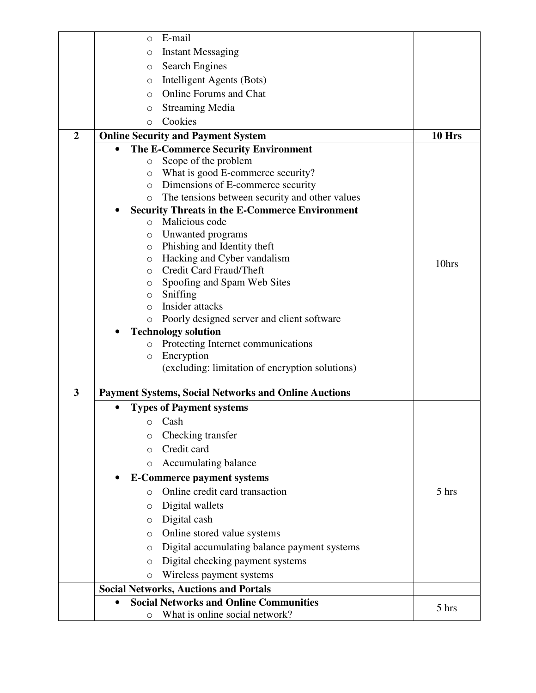|                         | E-mail<br>$\circ$                                                 |        |
|-------------------------|-------------------------------------------------------------------|--------|
|                         | <b>Instant Messaging</b><br>O                                     |        |
|                         | <b>Search Engines</b><br>$\circ$                                  |        |
|                         | Intelligent Agents (Bots)<br>$\circ$                              |        |
|                         | <b>Online Forums and Chat</b><br>$\Omega$                         |        |
|                         | <b>Streaming Media</b><br>$\circ$                                 |        |
|                         | Cookies<br>$\circ$                                                |        |
| $\overline{2}$          | <b>Online Security and Payment System</b>                         | 10 Hrs |
|                         | The E-Commerce Security Environment<br>$\bullet$                  |        |
|                         | Scope of the problem<br>$\circ$                                   |        |
|                         | What is good E-commerce security?<br>O                            |        |
|                         | Dimensions of E-commerce security<br>$\circ$                      |        |
|                         | The tensions between security and other values<br>$\circ$         |        |
|                         | <b>Security Threats in the E-Commerce Environment</b>             |        |
|                         | Malicious code<br>$\circ$                                         |        |
|                         | Unwanted programs<br>$\circ$                                      |        |
|                         | Phishing and Identity theft<br>$\circ$                            |        |
|                         | Hacking and Cyber vandalism<br>$\circ$                            | 10hrs  |
|                         | Credit Card Fraud/Theft<br>$\circ$<br>Spoofing and Spam Web Sites |        |
|                         | $\circ$<br>Sniffing<br>$\circ$                                    |        |
|                         | Insider attacks<br>$\circ$                                        |        |
|                         | Poorly designed server and client software<br>$\circ$             |        |
|                         | <b>Technology solution</b>                                        |        |
|                         | Protecting Internet communications<br>$\circ$                     |        |
|                         | Encryption<br>$\circlearrowright$                                 |        |
|                         | (excluding: limitation of encryption solutions)                   |        |
| $\overline{\mathbf{3}}$ | <b>Payment Systems, Social Networks and Online Auctions</b>       |        |
|                         | <b>Types of Payment systems</b>                                   |        |
|                         | $\circ$ Cash                                                      |        |
|                         | Checking transfer<br>$\circ$                                      |        |
|                         | Credit card<br>$\circ$                                            |        |
|                         | Accumulating balance<br>$\circ$                                   |        |
|                         | <b>E-Commerce payment systems</b>                                 |        |
|                         | Online credit card transaction<br>$\Omega$                        | 5 hrs  |
|                         | Digital wallets<br>$\circ$                                        |        |
|                         | Digital cash<br>O                                                 |        |
|                         | Online stored value systems<br>$\circ$                            |        |
|                         | Digital accumulating balance payment systems<br>$\circ$           |        |
|                         | Digital checking payment systems<br>$\circ$                       |        |
|                         | Wireless payment systems<br>$\circ$                               |        |
|                         | <b>Social Networks, Auctions and Portals</b>                      |        |
|                         | <b>Social Networks and Online Communities</b>                     |        |
|                         | What is online social network?<br>O                               | 5 hrs  |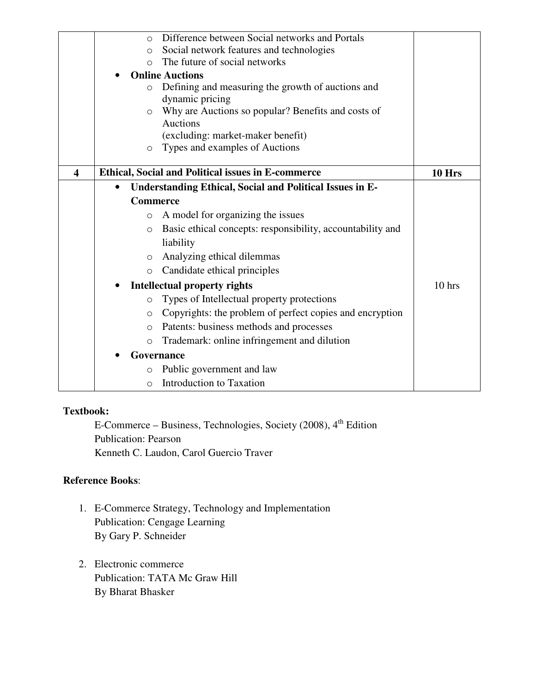|                         | Difference between Social networks and Portals<br>$\Omega$                   |        |
|-------------------------|------------------------------------------------------------------------------|--------|
|                         | Social network features and technologies<br>$\circ$                          |        |
|                         | The future of social networks<br>$\bigcirc$                                  |        |
|                         | <b>Online Auctions</b>                                                       |        |
|                         | Defining and measuring the growth of auctions and<br>$\circ$                 |        |
|                         | dynamic pricing                                                              |        |
|                         | Why are Auctions so popular? Benefits and costs of<br>O                      |        |
|                         | <b>Auctions</b>                                                              |        |
|                         | (excluding: market-maker benefit)                                            |        |
|                         | Types and examples of Auctions<br>O                                          |        |
| $\overline{\mathbf{4}}$ | <b>Ethical, Social and Political issues in E-commerce</b>                    | 10 Hrs |
|                         | <b>Understanding Ethical, Social and Political Issues in E-</b><br>$\bullet$ |        |
|                         | <b>Commerce</b>                                                              |        |
|                         | A model for organizing the issues<br>$\circ$                                 |        |
|                         | Basic ethical concepts: responsibility, accountability and<br>$\circ$        |        |
|                         | liability                                                                    |        |
|                         | Analyzing ethical dilemmas<br>$\circ$                                        |        |
|                         | Candidate ethical principles<br>$\circ$                                      |        |
|                         | <b>Intellectual property rights</b>                                          | 10 hrs |
|                         | Types of Intellectual property protections<br>$\circ$                        |        |
|                         | Copyrights: the problem of perfect copies and encryption<br>O                |        |
|                         | Patents: business methods and processes<br>$\circ$                           |        |
|                         | Trademark: online infringement and dilution<br>$\circ$                       |        |
|                         | Governance                                                                   |        |
|                         | Public government and law<br>$\circ$                                         |        |
|                         | Introduction to Taxation<br>$\circ$                                          |        |

E-Commerce – Business, Technologies, Society (2008), 4<sup>th</sup> Edition Publication: Pearson Kenneth C. Laudon, Carol Guercio Traver

- 1. E-Commerce Strategy, Technology and Implementation Publication: Cengage Learning By Gary P. Schneider
- 2. Electronic commerce Publication: TATA Mc Graw Hill By Bharat Bhasker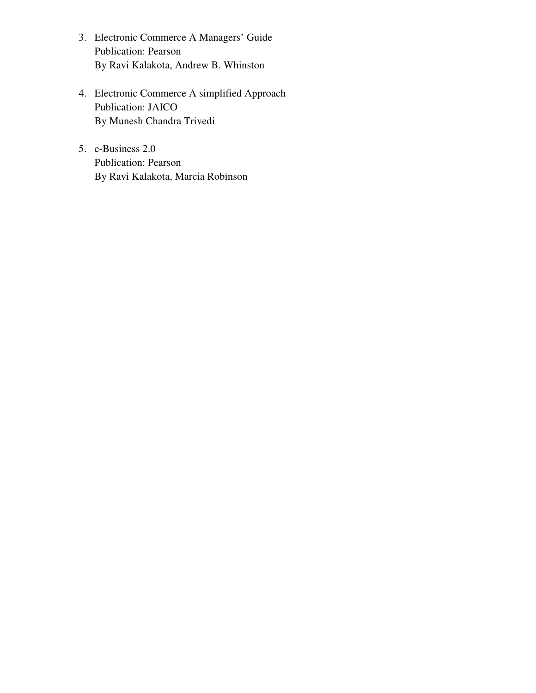- 3. Electronic Commerce A Managers' Guide Publication: Pearson By Ravi Kalakota, Andrew B. Whinston
- 4. Electronic Commerce A simplified Approach Publication: JAICO By Munesh Chandra Trivedi
- 5. e-Business 2.0 Publication: Pearson By Ravi Kalakota, Marcia Robinson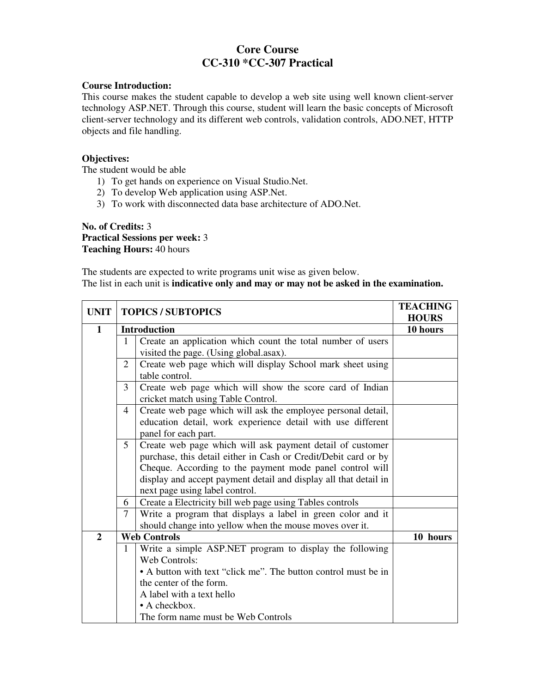# **Core Course CC-310 \*CC-307 Practical**

#### **Course Introduction:**

This course makes the student capable to develop a web site using well known client-server technology ASP.NET. Through this course, student will learn the basic concepts of Microsoft client-server technology and its different web controls, validation controls, ADO.NET, HTTP objects and file handling.

#### **Objectives:**

The student would be able

- 1) To get hands on experience on Visual Studio.Net.
- 2) To develop Web application using ASP.Net.
- 3) To work with disconnected data base architecture of ADO.Net.

#### **No. of Credits:** 3 **Practical Sessions per week:** 3 **Teaching Hours:** 40 hours

The students are expected to write programs unit wise as given below. The list in each unit is **indicative only and may or may not be asked in the examination.** 

| <b>UNIT</b>    | <b>TOPICS / SUBTOPICS</b>                                                                                                                                             |                                                                                                                                                                                                                                                                                                | <b>TEACHING</b><br><b>HOURS</b> |
|----------------|-----------------------------------------------------------------------------------------------------------------------------------------------------------------------|------------------------------------------------------------------------------------------------------------------------------------------------------------------------------------------------------------------------------------------------------------------------------------------------|---------------------------------|
| $\mathbf{1}$   |                                                                                                                                                                       | <b>Introduction</b>                                                                                                                                                                                                                                                                            | 10 hours                        |
|                | 1                                                                                                                                                                     | Create an application which count the total number of users                                                                                                                                                                                                                                    |                                 |
|                |                                                                                                                                                                       | visited the page. (Using global.asax).                                                                                                                                                                                                                                                         |                                 |
|                | 2                                                                                                                                                                     | Create web page which will display School mark sheet using<br>table control.                                                                                                                                                                                                                   |                                 |
|                | 3                                                                                                                                                                     | Create web page which will show the score card of Indian<br>cricket match using Table Control.                                                                                                                                                                                                 |                                 |
|                | Create web page which will ask the employee personal detail,<br>$\overline{4}$<br>education detail, work experience detail with use different<br>panel for each part. |                                                                                                                                                                                                                                                                                                |                                 |
|                | $5\overline{)}$                                                                                                                                                       | Create web page which will ask payment detail of customer<br>purchase, this detail either in Cash or Credit/Debit card or by<br>Cheque. According to the payment mode panel control will<br>display and accept payment detail and display all that detail in<br>next page using label control. |                                 |
|                | 6                                                                                                                                                                     | Create a Electricity bill web page using Tables controls                                                                                                                                                                                                                                       |                                 |
|                | $\overline{7}$                                                                                                                                                        | Write a program that displays a label in green color and it                                                                                                                                                                                                                                    |                                 |
|                |                                                                                                                                                                       | should change into yellow when the mouse moves over it.                                                                                                                                                                                                                                        |                                 |
| $\overline{2}$ | <b>Web Controls</b>                                                                                                                                                   |                                                                                                                                                                                                                                                                                                | 10 hours                        |
|                | 1                                                                                                                                                                     | Write a simple ASP.NET program to display the following                                                                                                                                                                                                                                        |                                 |
|                |                                                                                                                                                                       | Web Controls:                                                                                                                                                                                                                                                                                  |                                 |
|                |                                                                                                                                                                       | • A button with text "click me". The button control must be in                                                                                                                                                                                                                                 |                                 |
|                |                                                                                                                                                                       | the center of the form.                                                                                                                                                                                                                                                                        |                                 |
|                |                                                                                                                                                                       | A label with a text hello                                                                                                                                                                                                                                                                      |                                 |
|                |                                                                                                                                                                       | $\bullet$ A checkbox.                                                                                                                                                                                                                                                                          |                                 |
|                |                                                                                                                                                                       | The form name must be Web Controls                                                                                                                                                                                                                                                             |                                 |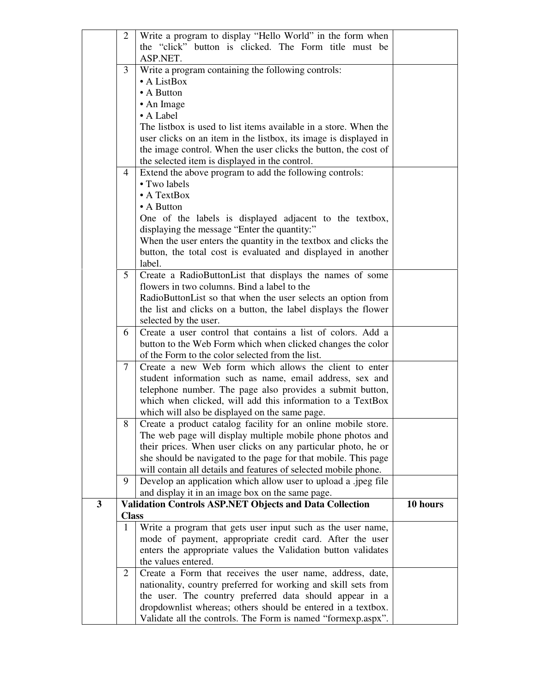|              | 2            | Write a program to display "Hello World" in the form when                                                                   |          |
|--------------|--------------|-----------------------------------------------------------------------------------------------------------------------------|----------|
|              |              | the "click" button is clicked. The Form title must be                                                                       |          |
|              |              | ASP.NET.                                                                                                                    |          |
|              | 3            | Write a program containing the following controls:                                                                          |          |
|              |              | • A ListBox                                                                                                                 |          |
|              |              | $\bullet$ A Button                                                                                                          |          |
|              |              | • An Image<br>• A Label                                                                                                     |          |
|              |              | The listbox is used to list items available in a store. When the                                                            |          |
|              |              | user clicks on an item in the listbox, its image is displayed in                                                            |          |
|              |              | the image control. When the user clicks the button, the cost of                                                             |          |
|              |              | the selected item is displayed in the control.                                                                              |          |
|              | 4            | Extend the above program to add the following controls:                                                                     |          |
|              |              | • Two labels                                                                                                                |          |
|              |              | $\bullet$ A TextBox                                                                                                         |          |
|              |              | • A Button                                                                                                                  |          |
|              |              | One of the labels is displayed adjacent to the textbox,                                                                     |          |
|              |              | displaying the message "Enter the quantity:"                                                                                |          |
|              |              | When the user enters the quantity in the textbox and clicks the                                                             |          |
|              |              | button, the total cost is evaluated and displayed in another                                                                |          |
|              |              | label.                                                                                                                      |          |
|              | 5            | Create a RadioButtonList that displays the names of some                                                                    |          |
|              |              | flowers in two columns. Bind a label to the                                                                                 |          |
|              |              | RadioButtonList so that when the user selects an option from                                                                |          |
|              |              | the list and clicks on a button, the label displays the flower                                                              |          |
|              |              | selected by the user.                                                                                                       |          |
|              | 6            | Create a user control that contains a list of colors. Add a                                                                 |          |
|              |              | button to the Web Form which when clicked changes the color<br>of the Form to the color selected from the list.             |          |
|              | 7            | Create a new Web form which allows the client to enter                                                                      |          |
|              |              | student information such as name, email address, sex and                                                                    |          |
|              |              | telephone number. The page also provides a submit button,                                                                   |          |
|              |              | which when clicked, will add this information to a TextBox                                                                  |          |
|              |              | which will also be displayed on the same page.                                                                              |          |
|              | 8            | Create a product catalog facility for an online mobile store.                                                               |          |
|              |              | The web page will display multiple mobile phone photos and                                                                  |          |
|              |              | their prices. When user clicks on any particular photo, he or                                                               |          |
|              |              | she should be navigated to the page for that mobile. This page                                                              |          |
|              |              | will contain all details and features of selected mobile phone.                                                             |          |
|              | 9            | Develop an application which allow user to upload a .jpeg file                                                              |          |
|              |              | and display it in an image box on the same page.                                                                            |          |
| $\mathbf{3}$ |              | <b>Validation Controls ASP.NET Objects and Data Collection</b>                                                              | 10 hours |
|              | <b>Class</b> |                                                                                                                             |          |
|              | 1            | Write a program that gets user input such as the user name,                                                                 |          |
|              |              | mode of payment, appropriate credit card. After the user                                                                    |          |
|              |              | enters the appropriate values the Validation button validates                                                               |          |
|              |              | the values entered.                                                                                                         |          |
|              | 2            | Create a Form that receives the user name, address, date,<br>nationality, country preferred for working and skill sets from |          |
|              |              | the user. The country preferred data should appear in a                                                                     |          |
|              |              | dropdownlist whereas; others should be entered in a textbox.                                                                |          |
|              |              | Validate all the controls. The Form is named "formexp.aspx".                                                                |          |
|              |              |                                                                                                                             |          |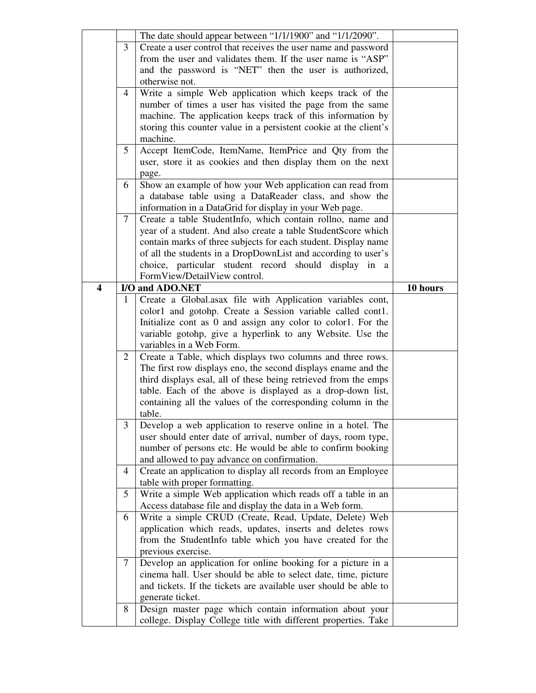|                  |                                                                 | The date should appear between "1/1/1900" and "1/1/2090".                                                 |          |
|------------------|-----------------------------------------------------------------|-----------------------------------------------------------------------------------------------------------|----------|
|                  | 3                                                               | Create a user control that receives the user name and password                                            |          |
|                  |                                                                 | from the user and validates them. If the user name is "ASP"                                               |          |
|                  | and the password is "NET" then the user is authorized,          |                                                                                                           |          |
|                  |                                                                 | otherwise not.                                                                                            |          |
|                  | 4                                                               | Write a simple Web application which keeps track of the                                                   |          |
|                  |                                                                 | number of times a user has visited the page from the same                                                 |          |
|                  |                                                                 | machine. The application keeps track of this information by                                               |          |
|                  |                                                                 | storing this counter value in a persistent cookie at the client's                                         |          |
|                  |                                                                 | machine.                                                                                                  |          |
|                  | 5                                                               | Accept ItemCode, ItemName, ItemPrice and Qty from the                                                     |          |
|                  | user, store it as cookies and then display them on the next     |                                                                                                           |          |
|                  |                                                                 | page.                                                                                                     |          |
|                  | 6                                                               | Show an example of how your Web application can read from                                                 |          |
|                  |                                                                 | a database table using a DataReader class, and show the                                                   |          |
|                  |                                                                 | information in a DataGrid for display in your Web page.                                                   |          |
|                  | $7\phantom{.0}$                                                 | Create a table StudentInfo, which contain rollno, name and                                                |          |
|                  |                                                                 | year of a student. And also create a table StudentScore which                                             |          |
|                  |                                                                 | contain marks of three subjects for each student. Display name                                            |          |
|                  |                                                                 | of all the students in a DropDownList and according to user's                                             |          |
|                  |                                                                 | choice, particular student record should display in a                                                     |          |
|                  |                                                                 | FormView/DetailView control.                                                                              |          |
| $\boldsymbol{4}$ |                                                                 | I/O and ADO.NET                                                                                           | 10 hours |
|                  | 1                                                               | Create a Global.asax file with Application variables cont,                                                |          |
|                  |                                                                 | color1 and gotohp. Create a Session variable called cont1.                                                |          |
|                  |                                                                 | Initialize cont as 0 and assign any color to color1. For the                                              |          |
|                  |                                                                 | variable gotohp, give a hyperlink to any Website. Use the                                                 |          |
|                  |                                                                 | variables in a Web Form.                                                                                  |          |
|                  | 2                                                               | Create a Table, which displays two columns and three rows.                                                |          |
|                  |                                                                 | The first row displays eno, the second displays ename and the                                             |          |
|                  | third displays esal, all of these being retrieved from the emps |                                                                                                           |          |
|                  | table. Each of the above is displayed as a drop-down list,      |                                                                                                           |          |
|                  | containing all the values of the corresponding column in the    |                                                                                                           |          |
|                  |                                                                 | table.                                                                                                    |          |
|                  | 3                                                               | Develop a web application to reserve online in a hotel. The                                               |          |
|                  | user should enter date of arrival, number of days, room type,   |                                                                                                           |          |
|                  |                                                                 | number of persons etc. He would be able to confirm booking<br>and allowed to pay advance on confirmation. |          |
|                  |                                                                 |                                                                                                           |          |
|                  |                                                                 |                                                                                                           |          |
|                  | 4                                                               | Create an application to display all records from an Employee                                             |          |
|                  |                                                                 | table with proper formatting.                                                                             |          |
|                  | 5                                                               | Write a simple Web application which reads off a table in an                                              |          |
|                  |                                                                 | Access database file and display the data in a Web form.                                                  |          |
|                  | 6                                                               | Write a simple CRUD (Create, Read, Update, Delete) Web                                                    |          |
|                  |                                                                 | application which reads, updates, inserts and deletes rows                                                |          |
|                  |                                                                 | from the StudentInfo table which you have created for the                                                 |          |
|                  |                                                                 | previous exercise.                                                                                        |          |
|                  | 7                                                               | Develop an application for online booking for a picture in a                                              |          |
|                  |                                                                 | cinema hall. User should be able to select date, time, picture                                            |          |
|                  |                                                                 | and tickets. If the tickets are available user should be able to                                          |          |
|                  | 8                                                               | generate ticket.<br>Design master page which contain information about your                               |          |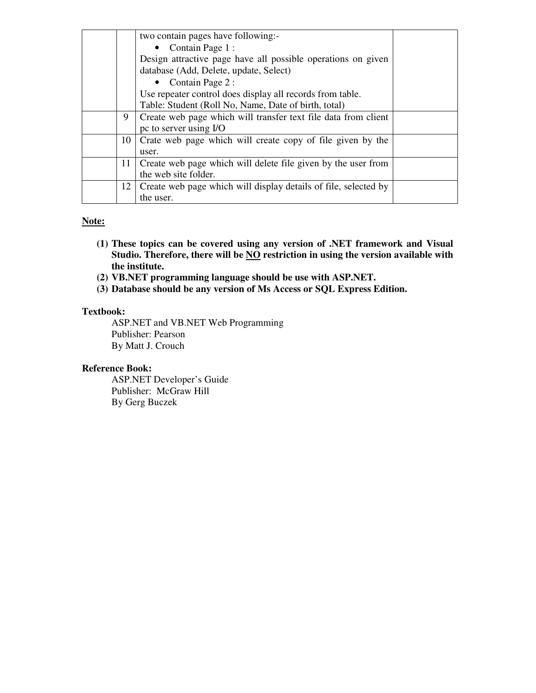|    | two contain pages have following:-                              |  |
|----|-----------------------------------------------------------------|--|
|    | • Contain Page $1$ :                                            |  |
|    | Design attractive page have all possible operations on given    |  |
|    | database (Add, Delete, update, Select)                          |  |
|    | • Contain Page $2$ :                                            |  |
|    | Use repeater control does display all records from table.       |  |
|    | Table: Student (Roll No, Name, Date of birth, total)            |  |
| 9  | Create web page which will transfer text file data from client  |  |
|    | pc to server using I/O                                          |  |
| 10 | Crate web page which will create copy of file given by the      |  |
|    | user.                                                           |  |
| 11 | Create web page which will delete file given by the user from   |  |
|    | the web site folder.                                            |  |
| 12 | Create web page which will display details of file, selected by |  |
|    | the user.                                                       |  |

#### **Note:**

- **(1) These topics can be covered using any version of .NET framework and Visual**  Studio. Therefore, there will be **NO** restriction in using the version available with **the institute.**
- **(2) VB.NET programming language should be use with ASP.NET.**
- **(3) Database should be any version of Ms Access or SQL Express Edition.**

#### **Textbook:**

ASP.NET and VB.NET Web Programming Publisher: Pearson By Matt J. Crouch

#### **Reference Book:**

ASP.NET Developer's Guide Publisher: McGraw Hill By Gerg Buczek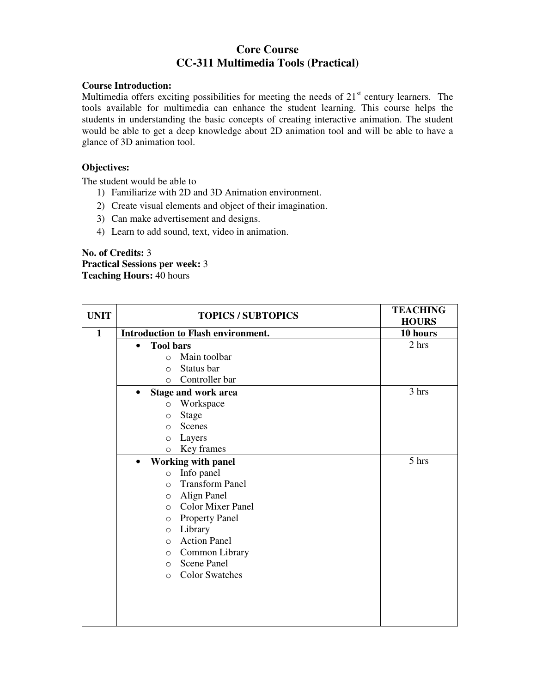# **Core Course CC-311 Multimedia Tools (Practical)**

#### **Course Introduction:**

Multimedia offers exciting possibilities for meeting the needs of  $21<sup>st</sup>$  century learners. The tools available for multimedia can enhance the student learning. This course helps the students in understanding the basic concepts of creating interactive animation. The student would be able to get a deep knowledge about 2D animation tool and will be able to have a glance of 3D animation tool.

#### **Objectives:**

The student would be able to

- 1) Familiarize with 2D and 3D Animation environment.
- 2) Create visual elements and object of their imagination.
- 3) Can make advertisement and designs.
- 4) Learn to add sound, text, video in animation.

#### **No. of Credits:** 3 **Practical Sessions per week:** 3 **Teaching Hours:** 40 hours

| <b>UNIT</b>  | <b>TOPICS / SUBTOPICS</b>     |                                           | <b>TEACHING</b><br><b>HOURS</b> |
|--------------|-------------------------------|-------------------------------------------|---------------------------------|
| $\mathbf{1}$ |                               | <b>Introduction to Flash environment.</b> | 10 hours                        |
|              | <b>Tool bars</b><br>$\bullet$ |                                           | 2 hrs                           |
|              | $\bigcap$                     | Main toolbar                              |                                 |
|              | $\bigcirc$                    | Status bar                                |                                 |
|              | $\circ$                       | Controller bar                            |                                 |
|              |                               | <b>Stage and work area</b>                | 3 hrs                           |
|              | $\circ$                       | Workspace                                 |                                 |
|              | $\circ$                       | Stage                                     |                                 |
|              | $\circ$                       | Scenes                                    |                                 |
|              | O                             | Layers                                    |                                 |
|              | $\Omega$                      | Key frames                                |                                 |
|              | $\bullet$                     | <b>Working with panel</b>                 | 5 hrs                           |
|              | $\circ$                       | Info panel                                |                                 |
|              | $\Omega$                      | <b>Transform Panel</b>                    |                                 |
|              | $\circ$                       | Align Panel                               |                                 |
|              | $\Omega$                      | <b>Color Mixer Panel</b>                  |                                 |
|              | $\circ$                       | <b>Property Panel</b>                     |                                 |
|              | $\circ$                       | Library                                   |                                 |
|              | $\circ$                       | <b>Action Panel</b>                       |                                 |
|              | $\circ$                       | Common Library                            |                                 |
|              | $\Omega$                      | <b>Scene Panel</b>                        |                                 |
|              | $\Omega$                      | <b>Color Swatches</b>                     |                                 |
|              |                               |                                           |                                 |
|              |                               |                                           |                                 |
|              |                               |                                           |                                 |
|              |                               |                                           |                                 |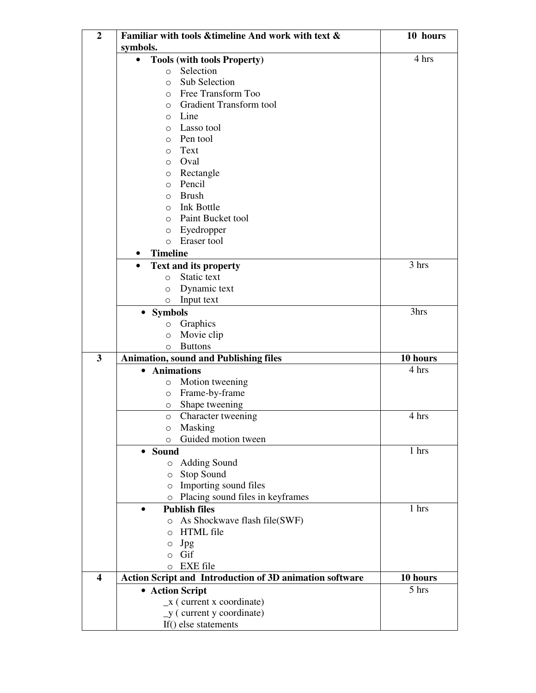| $\boldsymbol{2}$        | Familiar with tools & timeline And work with text &     | 10 hours |
|-------------------------|---------------------------------------------------------|----------|
|                         | symbols.                                                |          |
|                         | <b>Tools (with tools Property)</b>                      | 4 hrs    |
|                         | Selection<br>$\circ$                                    |          |
|                         | Sub Selection<br>$\circ$                                |          |
|                         | Free Transform Too<br>$\circ$                           |          |
|                         | <b>Gradient Transform tool</b><br>$\circ$               |          |
|                         | Line<br>$\circ$                                         |          |
|                         | Lasso tool<br>$\Omega$                                  |          |
|                         | Pen tool<br>$\Omega$                                    |          |
|                         | Text<br>$\circ$                                         |          |
|                         | Oval<br>$\circ$                                         |          |
|                         | Rectangle<br>$\circ$                                    |          |
|                         | Pencil<br>$\circ$                                       |          |
|                         | <b>Brush</b><br>$\circ$                                 |          |
|                         | <b>Ink Bottle</b><br>$\circ$                            |          |
|                         | Paint Bucket tool<br>$\circ$                            |          |
|                         | Eyedropper<br>$\circ$                                   |          |
|                         | Eraser tool<br>$\circ$                                  |          |
|                         | <b>Timeline</b><br>$\bullet$                            |          |
|                         | <b>Text and its property</b>                            | 3 hrs    |
|                         | Static text<br>$\Omega$                                 |          |
|                         | Dynamic text                                            |          |
|                         | $\circ$<br>Input text<br>$\circ$                        |          |
|                         |                                                         | 3hrs     |
|                         | <b>Symbols</b>                                          |          |
|                         | Graphics<br>O                                           |          |
|                         | Movie clip<br>$\circ$                                   |          |
| $\overline{\mathbf{3}}$ | <b>Buttons</b><br>$\circ$                               |          |
|                         | <b>Animation, sound and Publishing files</b>            | 10 hours |
|                         | <b>Animations</b>                                       | 4 hrs    |
|                         | Motion tweening<br>O                                    |          |
|                         | Frame-by-frame<br>$\circ$                               |          |
|                         | Shape tweening<br>O                                     |          |
|                         | <b>Character tweening</b><br>$\circ$                    | 4 hrs    |
|                         | Masking<br>$\circ$                                      |          |
|                         | Guided motion tween<br>O                                |          |
|                         | • Sound                                                 | 1 hrs    |
|                         | o Adding Sound                                          |          |
|                         | Stop Sound<br>$\circ$                                   |          |
|                         | Importing sound files<br>$\circ$                        |          |
|                         | Placing sound files in keyframes<br>$\circ$             |          |
|                         | <b>Publish files</b><br>$\bullet$                       | 1 hrs    |
|                         | o As Shockwave flash file(SWF)                          |          |
|                         | <b>HTML</b> file<br>$\circ$                             |          |
|                         | Jpg<br>O                                                |          |
|                         | Gif<br>$\circ$                                          |          |
|                         | <b>EXE</b> file<br>$\circ$                              |          |
| $\overline{\mathbf{4}}$ | Action Script and Introduction of 3D animation software | 10 hours |
|                         | • Action Script                                         | 5 hrs    |
|                         | $\mathbf{x}$ (current x coordinate)                     |          |
|                         | $y$ (current y coordinate)                              |          |
|                         | If() else statements                                    |          |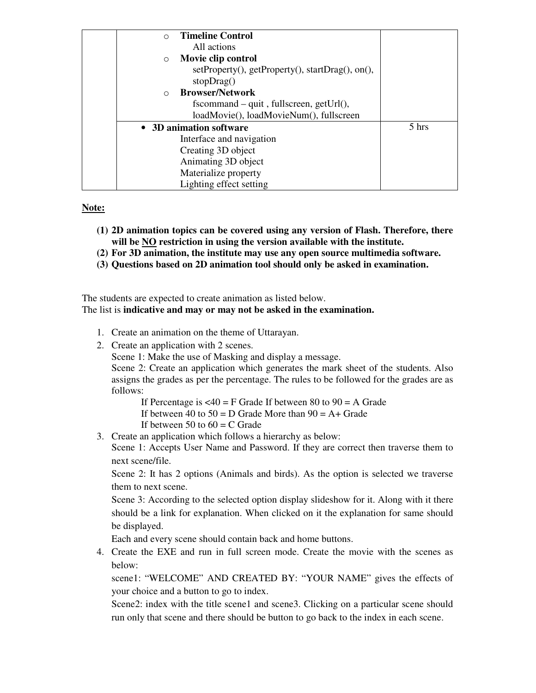| <b>Timeline Control</b><br>$\bigcap$             |       |
|--------------------------------------------------|-------|
| All actions                                      |       |
| Movie clip control<br>$\circ$                    |       |
| setProperty(), getProperty(), startDrag(), on(), |       |
| stop Drag()                                      |       |
| <b>Browser/Network</b><br>$\bigcap$              |       |
| $f_s$ command – quit, fullscreen, getUrl $($ ),  |       |
| loadMovie(), loadMovieNum(), fullscreen          |       |
| • 3D animation software                          | 5 hrs |
| Interface and navigation                         |       |
| Creating 3D object                               |       |
| Animating 3D object                              |       |
| Materialize property                             |       |
| Lighting effect setting                          |       |

#### **Note:**

- **(1) 2D animation topics can be covered using any version of Flash. Therefore, there will be NO restriction in using the version available with the institute.**
- **(2) For 3D animation, the institute may use any open source multimedia software.**
- **(3) Questions based on 2D animation tool should only be asked in examination.**

The students are expected to create animation as listed below.

## The list is **indicative and may or may not be asked in the examination.**

- 1. Create an animation on the theme of Uttarayan.
- 2. Create an application with 2 scenes.

Scene 1: Make the use of Masking and display a message.

Scene 2: Create an application which generates the mark sheet of the students. Also assigns the grades as per the percentage. The rules to be followed for the grades are as follows:

If Percentage is  $\langle 40 \rangle = F$  Grade If between 80 to 90 = A Grade

If between 40 to  $50 = D$  Grade More than  $90 = A +$  Grade

If between 50 to  $60 = C$  Grade

3. Create an application which follows a hierarchy as below:

Scene 1: Accepts User Name and Password. If they are correct then traverse them to next scene/file.

Scene 2: It has 2 options (Animals and birds). As the option is selected we traverse them to next scene.

Scene 3: According to the selected option display slideshow for it. Along with it there should be a link for explanation. When clicked on it the explanation for same should be displayed.

Each and every scene should contain back and home buttons.

4. Create the EXE and run in full screen mode. Create the movie with the scenes as below:

scene1: "WELCOME" AND CREATED BY: "YOUR NAME" gives the effects of your choice and a button to go to index.

Scene2: index with the title scene1 and scene3. Clicking on a particular scene should run only that scene and there should be button to go back to the index in each scene.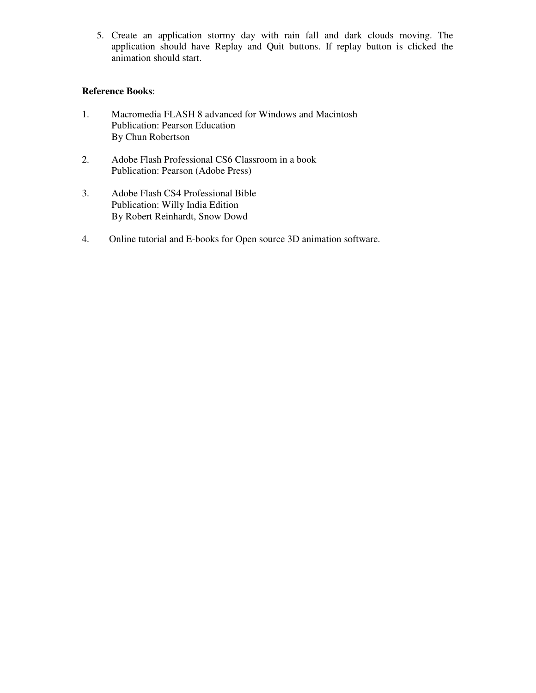5. Create an application stormy day with rain fall and dark clouds moving. The application should have Replay and Quit buttons. If replay button is clicked the animation should start.

- 1. Macromedia FLASH 8 advanced for Windows and Macintosh Publication: Pearson Education By Chun Robertson
- 2. Adobe Flash Professional CS6 Classroom in a book Publication: Pearson (Adobe Press)
- 3. Adobe Flash CS4 Professional Bible Publication: Willy India Edition By Robert Reinhardt, Snow Dowd
- 4. Online tutorial and E-books for Open source 3D animation software.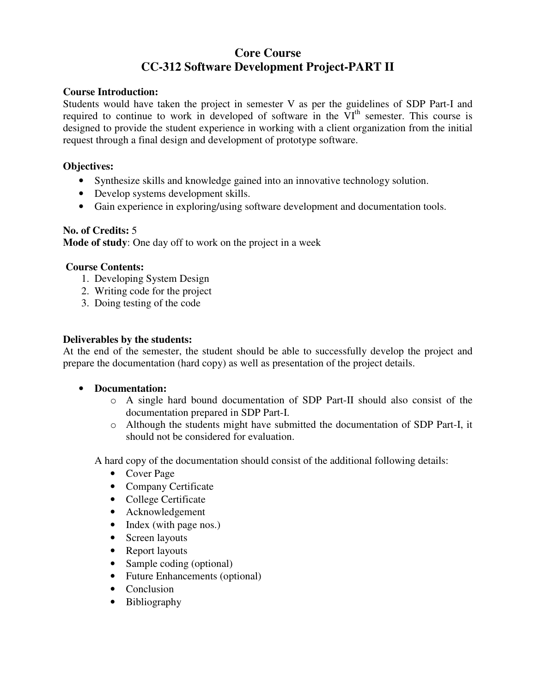# **Core Course CC-312 Software Development Project-PART II**

### **Course Introduction:**

Students would have taken the project in semester V as per the guidelines of SDP Part-I and required to continue to work in developed of software in the VI<sup>th</sup> semester. This course is designed to provide the student experience in working with a client organization from the initial request through a final design and development of prototype software.

## **Objectives:**

- Synthesize skills and knowledge gained into an innovative technology solution.
- Develop systems development skills.
- Gain experience in exploring/using software development and documentation tools.

#### **No. of Credits:** 5

**Mode of study**: One day off to work on the project in a week

#### **Course Contents:**

- 1. Developing System Design
- 2. Writing code for the project
- 3. Doing testing of the code

#### **Deliverables by the students:**

At the end of the semester, the student should be able to successfully develop the project and prepare the documentation (hard copy) as well as presentation of the project details.

- **Documentation:** 
	- o A single hard bound documentation of SDP Part-II should also consist of the documentation prepared in SDP Part-I.
	- o Although the students might have submitted the documentation of SDP Part-I, it should not be considered for evaluation.

A hard copy of the documentation should consist of the additional following details:

- Cover Page
- Company Certificate
- College Certificate
- Acknowledgement
- Index (with page nos.)
- Screen layouts
- Report layouts
- Sample coding (optional)
- Future Enhancements (optional)
- Conclusion
- Bibliography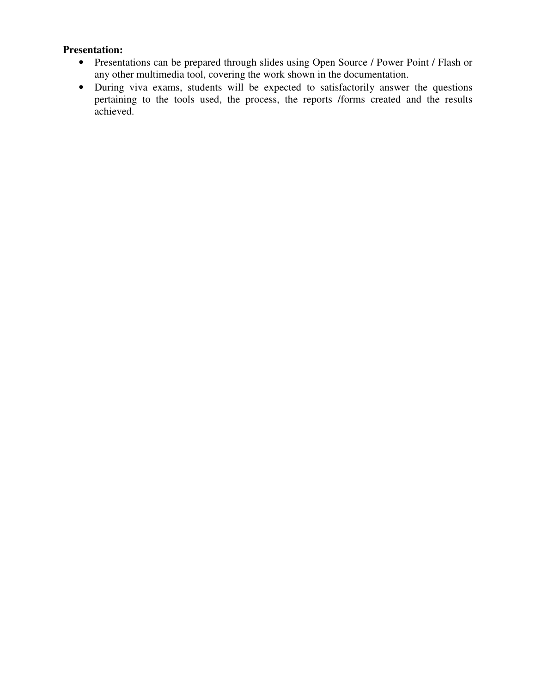# **Presentation:**

- Presentations can be prepared through slides using Open Source / Power Point / Flash or any other multimedia tool, covering the work shown in the documentation.
- During viva exams, students will be expected to satisfactorily answer the questions pertaining to the tools used, the process, the reports /forms created and the results achieved.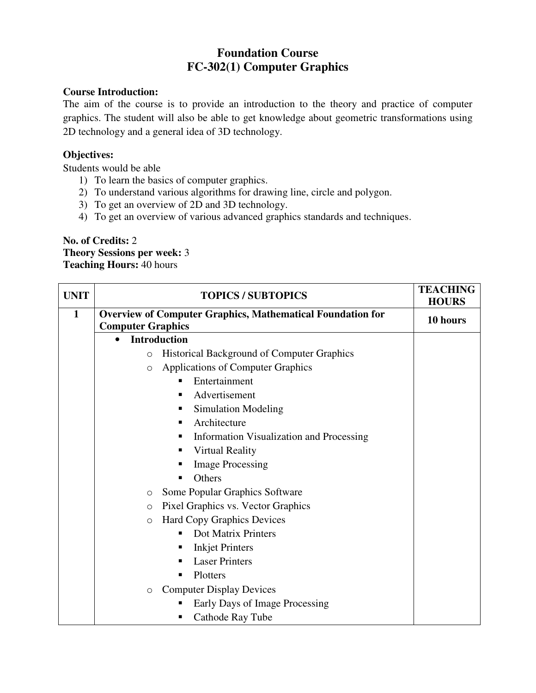# **Foundation Course FC-302(1) Computer Graphics**

## **Course Introduction:**

The aim of the course is to provide an introduction to the theory and practice of computer graphics. The student will also be able to get knowledge about geometric transformations using 2D technology and a general idea of 3D technology.

## **Objectives:**

Students would be able

- 1) To learn the basics of computer graphics.
- 2) To understand various algorithms for drawing line, circle and polygon.
- 3) To get an overview of 2D and 3D technology.
- 4) To get an overview of various advanced graphics standards and techniques.

## **No. of Credits:** 2 **Theory Sessions per week:** 3 **Teaching Hours:** 40 hours

| <b>UNIT</b>  | <b>TOPICS / SUBTOPICS</b>                                                              | <b>TEACHING</b> |
|--------------|----------------------------------------------------------------------------------------|-----------------|
|              |                                                                                        | <b>HOURS</b>    |
| $\mathbf{1}$ | Overview of Computer Graphics, Mathematical Foundation for<br><b>Computer Graphics</b> | 10 hours        |
|              | <b>Introduction</b><br>$\bullet$                                                       |                 |
|              | <b>Historical Background of Computer Graphics</b><br>$\circ$                           |                 |
|              | <b>Applications of Computer Graphics</b><br>$\circ$                                    |                 |
|              | Entertainment                                                                          |                 |
|              | Advertisement<br>п                                                                     |                 |
|              | <b>Simulation Modeling</b><br>п                                                        |                 |
|              | Architecture<br>п                                                                      |                 |
|              | Information Visualization and Processing<br>п                                          |                 |
|              | <b>Virtual Reality</b><br>п                                                            |                 |
|              | <b>Image Processing</b>                                                                |                 |
|              | Others<br>п                                                                            |                 |
|              | Some Popular Graphics Software<br>$\circ$                                              |                 |
|              | Pixel Graphics vs. Vector Graphics<br>$\circ$                                          |                 |
|              | <b>Hard Copy Graphics Devices</b><br>$\circ$                                           |                 |
|              | Dot Matrix Printers<br>п                                                               |                 |
|              | <b>Inkjet Printers</b><br>п                                                            |                 |
|              | <b>Laser Printers</b><br>п                                                             |                 |
|              | Plotters<br>п                                                                          |                 |
|              | <b>Computer Display Devices</b><br>$\circ$                                             |                 |
|              | Early Days of Image Processing                                                         |                 |
|              | Cathode Ray Tube                                                                       |                 |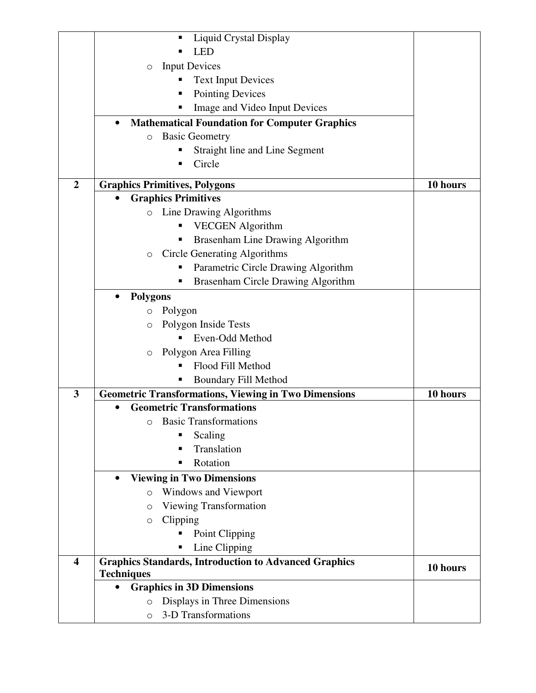|                         | <b>Liquid Crystal Display</b><br>п                                                |          |
|-------------------------|-----------------------------------------------------------------------------------|----------|
|                         | <b>LED</b>                                                                        |          |
|                         | <b>Input Devices</b><br>$\circ$                                                   |          |
|                         | <b>Text Input Devices</b>                                                         |          |
|                         | <b>Pointing Devices</b>                                                           |          |
|                         | Image and Video Input Devices                                                     |          |
|                         | <b>Mathematical Foundation for Computer Graphics</b><br>$\bullet$                 |          |
|                         | <b>Basic Geometry</b><br>$\circ$                                                  |          |
|                         | Straight line and Line Segment                                                    |          |
|                         | Circle                                                                            |          |
|                         |                                                                                   |          |
| $\overline{2}$          | <b>Graphics Primitives, Polygons</b>                                              | 10 hours |
|                         | <b>Graphics Primitives</b><br>Line Drawing Algorithms<br>$\circ$                  |          |
|                         |                                                                                   |          |
|                         | <b>VECGEN</b> Algorithm                                                           |          |
|                         | Brasenham Line Drawing Algorithm                                                  |          |
|                         | <b>Circle Generating Algorithms</b><br>$\circ$                                    |          |
|                         | Parametric Circle Drawing Algorithm                                               |          |
|                         | Brasenham Circle Drawing Algorithm                                                |          |
|                         | <b>Polygons</b><br>$\bullet$                                                      |          |
|                         | Polygon<br>$\circ$                                                                |          |
|                         | Polygon Inside Tests<br>O                                                         |          |
|                         | Even-Odd Method                                                                   |          |
|                         | Polygon Area Filling<br>$\circ$                                                   |          |
|                         | Flood Fill Method                                                                 |          |
|                         | <b>Boundary Fill Method</b><br>п                                                  |          |
| $\mathbf{3}$            | <b>Geometric Transformations, Viewing in Two Dimensions</b>                       | 10 hours |
|                         | <b>Geometric Transformations</b>                                                  |          |
|                         | <b>O</b> Basic Transformations                                                    |          |
|                         | Scaling<br>П                                                                      |          |
|                         | Translation                                                                       |          |
|                         | Rotation<br>п                                                                     |          |
|                         | <b>Viewing in Two Dimensions</b><br>$\bullet$                                     |          |
|                         | Windows and Viewport<br>$\circ$                                                   |          |
|                         | <b>Viewing Transformation</b><br>$\circ$                                          |          |
|                         | Clipping<br>$\circ$                                                               |          |
|                         | Point Clipping                                                                    |          |
|                         | Line Clipping                                                                     |          |
| $\overline{\mathbf{4}}$ | <b>Graphics Standards, Introduction to Advanced Graphics</b><br><b>Techniques</b> | 10 hours |
|                         | <b>Graphics in 3D Dimensions</b>                                                  |          |
|                         | Displays in Three Dimensions<br>$\circ$                                           |          |
|                         | 3-D Transformations<br>$\circ$                                                    |          |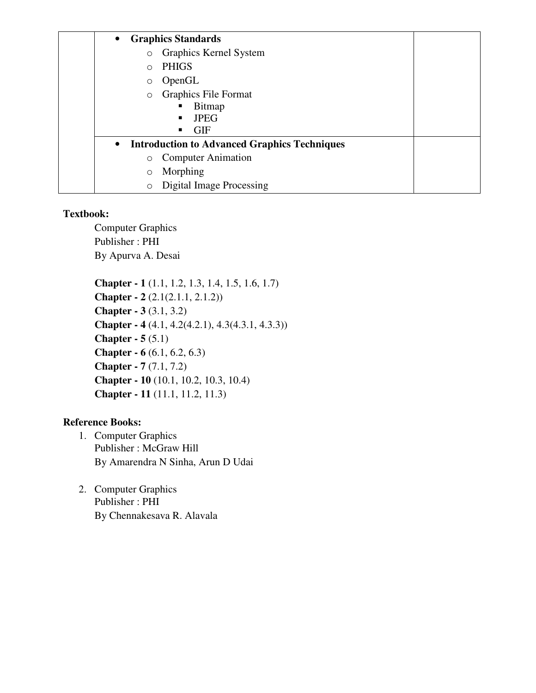| <b>Graphics Standards</b><br>$\bullet$                           |  |
|------------------------------------------------------------------|--|
| Graphics Kernel System<br>$\circ$                                |  |
| <b>PHIGS</b><br>$\Omega$                                         |  |
| OpenGL<br>$\circ$                                                |  |
| <b>Graphics File Format</b><br>$\circ$                           |  |
| Bitmap<br>٠                                                      |  |
| <b>JPEG</b>                                                      |  |
| <b>GIF</b><br>٠                                                  |  |
| <b>Introduction to Advanced Graphics Techniques</b><br>$\bullet$ |  |
| <b>Computer Animation</b><br>$\circ$                             |  |
| Morphing<br>$\circ$                                              |  |
| Digital Image Processing<br>$\circ$                              |  |
|                                                                  |  |

Computer Graphics Publisher : PHI By Apurva A. Desai

**Chapter - 1** (1.1, 1.2, 1.3, 1.4, 1.5, 1.6, 1.7) **Chapter - 2** (2.1(2.1.1, 2.1.2)) **Chapter - 3** (3.1, 3.2) **Chapter - 4** (4.1, 4.2(4.2.1), 4.3(4.3.1, 4.3.3)) **Chapter - 5** (5.1) **Chapter - 6** (6.1, 6.2, 6.3) **Chapter - 7** (7.1, 7.2) **Chapter - 10** (10.1, 10.2, 10.3, 10.4) **Chapter - 11** (11.1, 11.2, 11.3)

- 1. Computer Graphics Publisher : McGraw Hill By Amarendra N Sinha, Arun D Udai
- 2. Computer Graphics Publisher : PHI By Chennakesava R. Alavala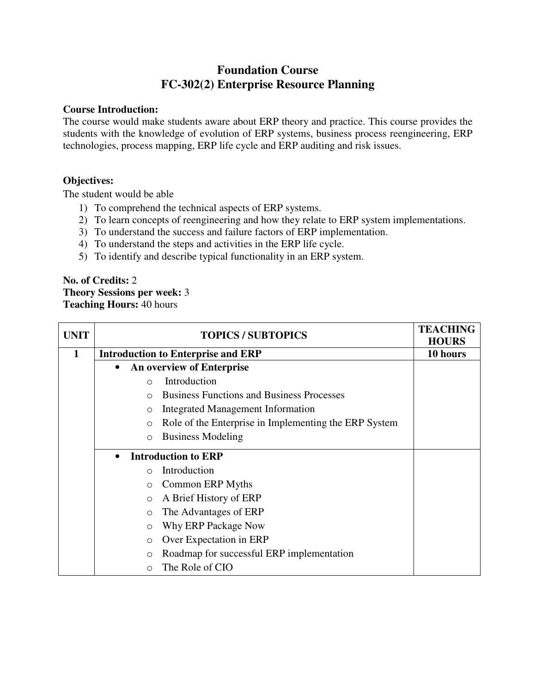# **Foundation Course FC-302(2) Enterprise Resource Planning**

## **Course Introduction:**

The course would make students aware about ERP theory and practice. This course provides the students with the knowledge of evolution of ERP systems, business process reengineering, ERP technologies, process mapping, ERP life cycle and ERP auditing and risk issues.

## **Objectives:**

The student would be able

- 1) To comprehend the technical aspects of ERP systems.
- 2) To learn concepts of reengineering and how they relate to ERP system implementations.
- 3) To understand the success and failure factors of ERP implementation.
- 4) To understand the steps and activities in the ERP life cycle.
- 5) To identify and describe typical functionality in an ERP system.

#### **No. of Credits:** 2 **Theory Sessions per week:** 3 **Teaching Hours:** 40 hours

| <b>UNIT</b> | <b>TOPICS / SUBTOPICS</b>                                        | <b>TEACHING</b><br><b>HOURS</b> |
|-------------|------------------------------------------------------------------|---------------------------------|
| 1           | <b>Introduction to Enterprise and ERP</b>                        | 10 hours                        |
|             | <b>An overview of Enterprise</b><br>$\bullet$                    |                                 |
|             | Introduction<br>$\bigcap$                                        |                                 |
|             | <b>Business Functions and Business Processes</b><br>$\Omega$     |                                 |
|             | Integrated Management Information<br>$\circ$                     |                                 |
|             | Role of the Enterprise in Implementing the ERP System<br>$\circ$ |                                 |
|             | <b>Business Modeling</b><br>$\circ$                              |                                 |
|             | <b>Introduction to ERP</b><br>$\bullet$                          |                                 |
|             | Introduction<br>$\bigcirc$                                       |                                 |
|             | Common ERP Myths<br>$\circ$                                      |                                 |
|             | A Brief History of ERP<br>$\circ$                                |                                 |
|             | The Advantages of ERP<br>$\circ$                                 |                                 |
|             | Why ERP Package Now<br>$\circ$                                   |                                 |
|             | Over Expectation in ERP<br>$\circ$                               |                                 |
|             | Roadmap for successful ERP implementation<br>$\circ$             |                                 |
|             | The Role of CIO<br>$\Omega$                                      |                                 |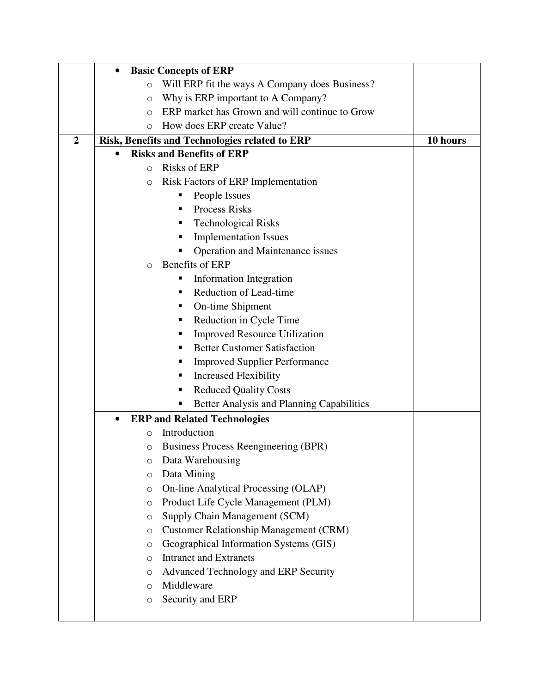|                | <b>Basic Concepts of ERP</b>                              |          |
|----------------|-----------------------------------------------------------|----------|
|                | Will ERP fit the ways A Company does Business?<br>$\circ$ |          |
|                | Why is ERP important to A Company?<br>$\circ$             |          |
|                | ERP market has Grown and will continue to Grow<br>O       |          |
|                | How does ERP create Value?<br>$\circ$                     |          |
| $\overline{2}$ | Risk, Benefits and Technologies related to ERP            | 10 hours |
|                | <b>Risks and Benefits of ERP</b>                          |          |
|                | <b>Risks of ERP</b><br>$\circ$                            |          |
|                | <b>Risk Factors of ERP Implementation</b><br>$\circ$      |          |
|                | People Issues                                             |          |
|                | <b>Process Risks</b><br>٠                                 |          |
|                | <b>Technological Risks</b><br>ш                           |          |
|                | <b>Implementation Issues</b><br>п                         |          |
|                | Operation and Maintenance issues                          |          |
|                | Benefits of ERP<br>O                                      |          |
|                | Information Integration<br>ш                              |          |
|                | Reduction of Lead-time<br>٠                               |          |
|                | On-time Shipment<br>ш                                     |          |
|                | Reduction in Cycle Time<br>ш                              |          |
|                | <b>Improved Resource Utilization</b><br>п                 |          |
|                | <b>Better Customer Satisfaction</b><br>п                  |          |
|                | <b>Improved Supplier Performance</b><br>п                 |          |
|                | <b>Increased Flexibility</b><br>ш                         |          |
|                | <b>Reduced Quality Costs</b><br>п                         |          |
|                | Better Analysis and Planning Capabilities<br>п            |          |
|                | <b>ERP</b> and Related Technologies<br>$\bullet$          |          |
|                | Introduction<br>$\circ$                                   |          |
|                | Business Process Reengineering (BPR)<br>O                 |          |
|                | Data Warehousing<br>O                                     |          |
|                | Data Mining<br>$\circ$                                    |          |
|                | On-line Analytical Processing (OLAP)<br>$\circ$           |          |
|                | Product Life Cycle Management (PLM)<br>$\circ$            |          |
|                | Supply Chain Management (SCM)<br>$\circ$                  |          |
|                | <b>Customer Relationship Management (CRM)</b><br>$\circ$  |          |
|                | Geographical Information Systems (GIS)<br>$\circ$         |          |
|                | <b>Intranet and Extranets</b><br>$\circ$                  |          |
|                | Advanced Technology and ERP Security<br>$\circ$           |          |
|                | Middleware<br>$\circ$                                     |          |
|                | Security and ERP<br>$\circ$                               |          |
|                |                                                           |          |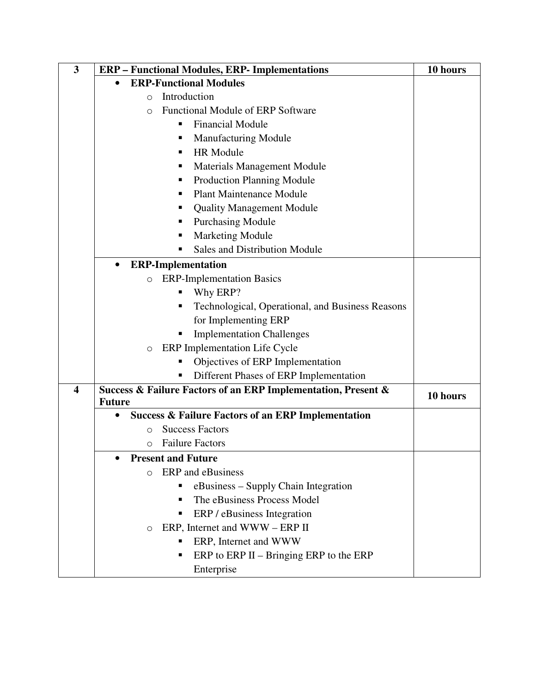| 3                       | <b>ERP</b> - Functional Modules, ERP- Implementations         | 10 hours |
|-------------------------|---------------------------------------------------------------|----------|
|                         | <b>ERP-Functional Modules</b><br>$\bullet$                    |          |
|                         | Introduction<br>$\circ$                                       |          |
|                         | <b>Functional Module of ERP Software</b><br>O                 |          |
|                         | <b>Financial Module</b><br>٠                                  |          |
|                         | <b>Manufacturing Module</b><br>п                              |          |
|                         | <b>HR Module</b><br>п                                         |          |
|                         | Materials Management Module<br>п                              |          |
|                         | <b>Production Planning Module</b><br>п                        |          |
|                         | <b>Plant Maintenance Module</b><br>п                          |          |
|                         | <b>Quality Management Module</b><br>п                         |          |
|                         | <b>Purchasing Module</b><br>п                                 |          |
|                         | <b>Marketing Module</b><br>п                                  |          |
|                         | <b>Sales and Distribution Module</b><br>п                     |          |
|                         | <b>ERP-Implementation</b><br>$\bullet$                        |          |
|                         | <b>ERP-Implementation Basics</b><br>$\circ$                   |          |
|                         | Why ERP?<br>п                                                 |          |
|                         | Technological, Operational, and Business Reasons<br>п         |          |
|                         | for Implementing ERP                                          |          |
|                         | <b>Implementation Challenges</b>                              |          |
|                         | ERP Implementation Life Cycle<br>O                            |          |
|                         | Objectives of ERP Implementation                              |          |
|                         | Different Phases of ERP Implementation                        |          |
| $\overline{\mathbf{4}}$ | Success & Failure Factors of an ERP Implementation, Present & |          |
|                         | <b>Future</b>                                                 | 10 hours |
|                         | <b>Success &amp; Failure Factors of an ERP Implementation</b> |          |
|                         | <b>Success Factors</b><br>$\circ$                             |          |
|                         | <b>Failure Factors</b><br>O                                   |          |
|                         | <b>Present and Future</b>                                     |          |
|                         | <b>ERP</b> and eBusiness<br>$\Omega$                          |          |
|                         | eBusiness – Supply Chain Integration                          |          |
|                         | The eBusiness Process Model<br>п                              |          |
|                         | ERP / eBusiness Integration<br>٠                              |          |
|                         | ERP, Internet and WWW - ERP II<br>O                           |          |
|                         | ERP, Internet and WWW<br>п                                    |          |
|                         | ERP to ERP II $-$ Bringing ERP to the ERP<br>٠                |          |
|                         | Enterprise                                                    |          |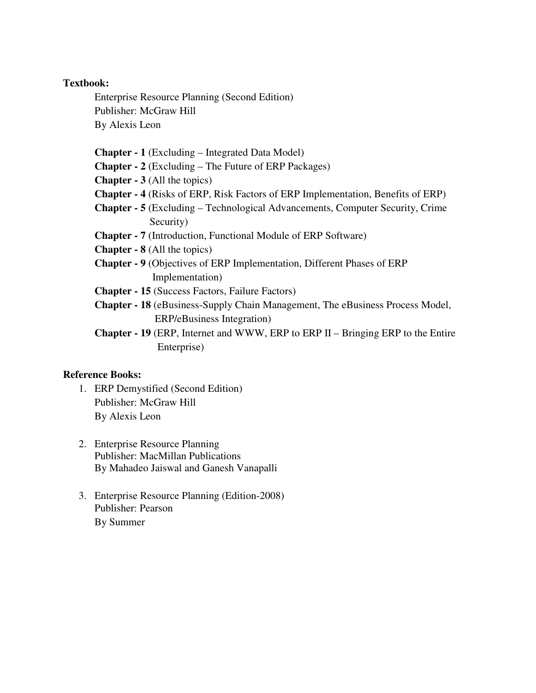Enterprise Resource Planning (Second Edition) Publisher: McGraw Hill By Alexis Leon

**Chapter - 1** (Excluding – Integrated Data Model)

**Chapter - 2** (Excluding – The Future of ERP Packages)

**Chapter - 3** (All the topics)

- **Chapter 4** (Risks of ERP, Risk Factors of ERP Implementation, Benefits of ERP)
- **Chapter 5** (Excluding Technological Advancements, Computer Security, Crime Security)
- **Chapter 7** (Introduction, Functional Module of ERP Software)
- **Chapter 8** (All the topics)
- **Chapter 9** (Objectives of ERP Implementation, Different Phases of ERP Implementation)
- **Chapter 15** (Success Factors, Failure Factors)
- **Chapter 18** (eBusiness-Supply Chain Management, The eBusiness Process Model, **ERP/eBusiness Integration**)
- **Chapter 19** (ERP, Internet and WWW, ERP to ERP II Bringing ERP to the Entire Enterprise)

- 1. ERP Demystified (Second Edition) Publisher: McGraw Hill By Alexis Leon
- 2. Enterprise Resource Planning Publisher: MacMillan Publications By Mahadeo Jaiswal and Ganesh Vanapalli
- 3. Enterprise Resource Planning (Edition-2008) Publisher: Pearson By Summer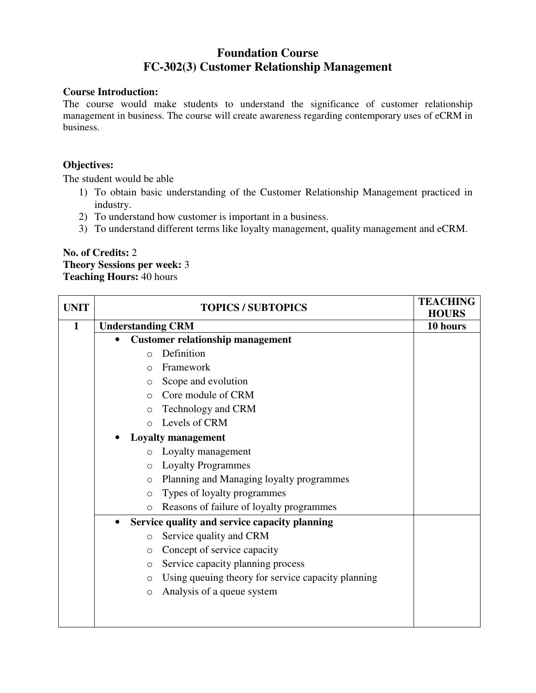# **Foundation Course FC-302(3) Customer Relationship Management**

### **Course Introduction:**

The course would make students to understand the significance of customer relationship management in business. The course will create awareness regarding contemporary uses of eCRM in business.

## **Objectives:**

The student would be able

- 1) To obtain basic understanding of the Customer Relationship Management practiced in industry.
- 2) To understand how customer is important in a business.
- 3) To understand different terms like loyalty management, quality management and eCRM.

### **No. of Credits:** 2 **Theory Sessions per week:** 3 **Teaching Hours:** 40 hours

| <b>UNIT</b>  | <b>TOPICS / SUBTOPICS</b> |                                                    | <b>TEACHING</b> |
|--------------|---------------------------|----------------------------------------------------|-----------------|
|              |                           |                                                    | <b>HOURS</b>    |
| $\mathbf{1}$ | <b>Understanding CRM</b>  |                                                    | 10 hours        |
|              |                           | <b>Customer relationship management</b>            |                 |
|              | $\Omega$                  | Definition                                         |                 |
|              | $\Omega$                  | Framework                                          |                 |
|              | $\circ$                   | Scope and evolution                                |                 |
|              | $\bigcap$                 | Core module of CRM                                 |                 |
|              | $\circ$                   | Technology and CRM                                 |                 |
|              | $\bigcirc$                | Levels of CRM                                      |                 |
|              |                           | <b>Loyalty management</b>                          |                 |
|              | $\circ$                   | Loyalty management                                 |                 |
|              | $\circ$                   | <b>Loyalty Programmes</b>                          |                 |
|              | $\circ$                   | Planning and Managing loyalty programmes           |                 |
|              | $\circ$                   | Types of loyalty programmes                        |                 |
|              | $\circ$                   | Reasons of failure of loyalty programmes           |                 |
|              | $\bullet$                 | Service quality and service capacity planning      |                 |
|              | $\circ$                   | Service quality and CRM                            |                 |
|              | $\circ$                   | Concept of service capacity                        |                 |
|              | $\circ$                   | Service capacity planning process                  |                 |
|              | $\circ$                   | Using queuing theory for service capacity planning |                 |
|              | $\circ$                   | Analysis of a queue system                         |                 |
|              |                           |                                                    |                 |
|              |                           |                                                    |                 |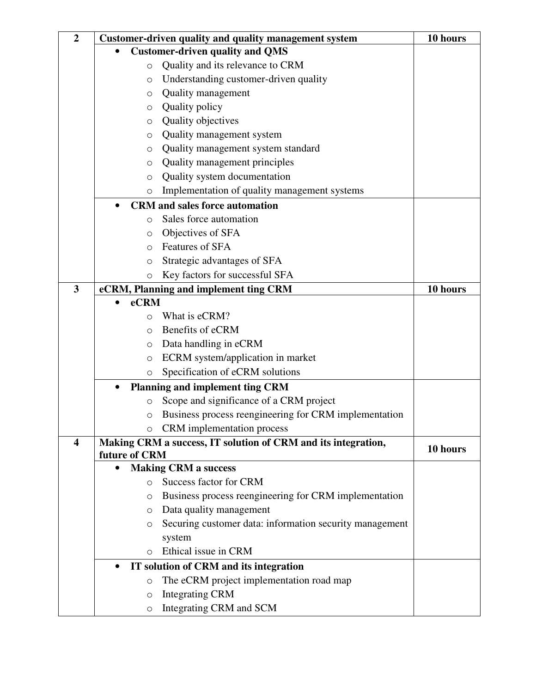| $\overline{2}$ | Customer-driven quality and quality management system         | 10 hours |
|----------------|---------------------------------------------------------------|----------|
|                | <b>Customer-driven quality and QMS</b>                        |          |
|                | Quality and its relevance to CRM<br>$\circ$                   |          |
|                | Understanding customer-driven quality<br>$\circ$              |          |
|                | Quality management<br>O                                       |          |
|                | Quality policy<br>O                                           |          |
|                | Quality objectives<br>$\circ$                                 |          |
|                | Quality management system<br>O                                |          |
|                | Quality management system standard<br>O                       |          |
|                | Quality management principles<br>$\circ$                      |          |
|                | Quality system documentation<br>$\circ$                       |          |
|                | Implementation of quality management systems<br>O             |          |
|                | <b>CRM</b> and sales force automation<br>$\bullet$            |          |
|                | Sales force automation<br>$\circ$                             |          |
|                | Objectives of SFA<br>O                                        |          |
|                | <b>Features of SFA</b><br>$\Omega$                            |          |
|                | Strategic advantages of SFA<br>O                              |          |
|                | Key factors for successful SFA<br>O                           |          |
| 3              | eCRM, Planning and implement ting CRM                         | 10 hours |
|                | eCRM                                                          |          |
|                | What is eCRM?<br>$\Omega$                                     |          |
|                | Benefits of eCRM<br>$\circ$                                   |          |
|                | Data handling in eCRM<br>O                                    |          |
|                | ECRM system/application in market<br>$\circ$                  |          |
|                | Specification of eCRM solutions<br>O                          |          |
|                | Planning and implement ting CRM<br>$\bullet$                  |          |
|                | Scope and significance of a CRM project<br>$\circ$            |          |
|                | Business process reengineering for CRM implementation<br>O    |          |
|                | CRM implementation process<br>$\circ$                         |          |
| 4              | Making CRM a success, IT solution of CRM and its integration, | 10 hours |
|                | future of CRM<br><b>Making CRM a success</b><br>$\bullet$     |          |
|                | Success factor for CRM<br>$\circ$                             |          |
|                | Business process reengineering for CRM implementation         |          |
|                | O<br>Data quality management<br>$\circ$                       |          |
|                | Securing customer data: information security management<br>O  |          |
|                | system                                                        |          |
|                | Ethical issue in CRM<br>$\circ$                               |          |
|                | IT solution of CRM and its integration<br>$\bullet$           |          |
|                | The eCRM project implementation road map<br>$\circ$           |          |
|                | <b>Integrating CRM</b><br>$\circ$                             |          |
|                | Integrating CRM and SCM<br>$\bigcirc$                         |          |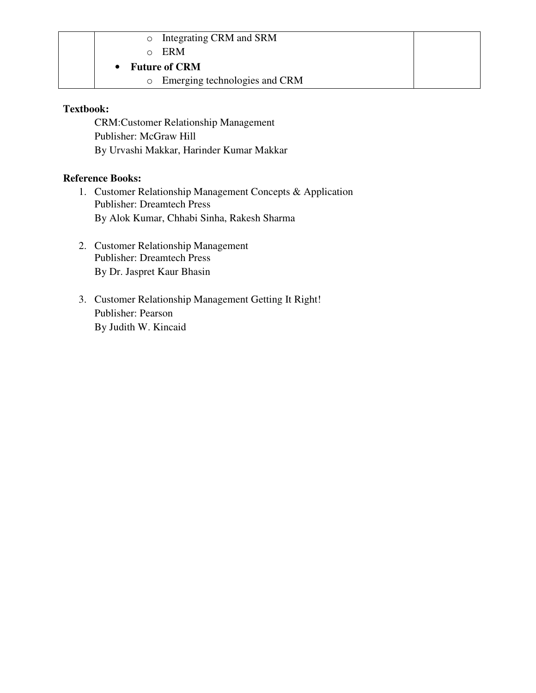| Integrating CRM and SRM<br>$\circ$       |  |
|------------------------------------------|--|
| ERM                                      |  |
| <b>Future of CRM</b>                     |  |
| Emerging technologies and CRM<br>$\circ$ |  |

CRM:Customer Relationship Management Publisher: McGraw Hill By Urvashi Makkar, Harinder Kumar Makkar

- 1. Customer Relationship Management Concepts & Application Publisher: Dreamtech Press By Alok Kumar, Chhabi Sinha, Rakesh Sharma
- 2. Customer Relationship Management Publisher: Dreamtech Press By Dr. Jaspret Kaur Bhasin
- 3. Customer Relationship Management Getting It Right! Publisher: Pearson By Judith W. Kincaid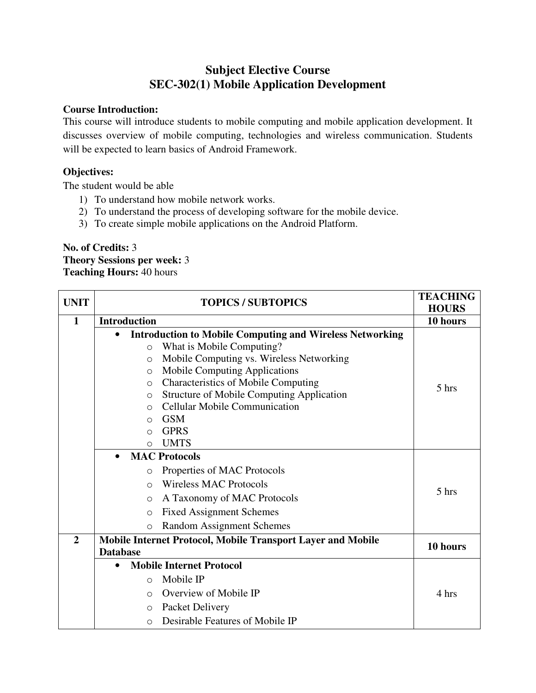# **Subject Elective Course SEC-302(1) Mobile Application Development**

### **Course Introduction:**

This course will introduce students to mobile computing and mobile application development. It discusses overview of mobile computing, technologies and wireless communication. Students will be expected to learn basics of Android Framework.

## **Objectives:**

The student would be able

- 1) To understand how mobile network works.
- 2) To understand the process of developing software for the mobile device.
- 3) To create simple mobile applications on the Android Platform.

## **No. of Credits:** 3 **Theory Sessions per week:** 3 **Teaching Hours:** 40 hours

| <b>UNIT</b>    | <b>TOPICS / SUBTOPICS</b>                                                    | <b>TEACHING</b><br><b>HOURS</b> |
|----------------|------------------------------------------------------------------------------|---------------------------------|
| $\mathbf{1}$   | <b>Introduction</b>                                                          | 10 hours                        |
|                | <b>Introduction to Mobile Computing and Wireless Networking</b><br>$\bullet$ |                                 |
|                | What is Mobile Computing?<br>$\circ$                                         |                                 |
|                | Mobile Computing vs. Wireless Networking<br>$\circ$                          |                                 |
|                | <b>Mobile Computing Applications</b><br>$\circ$                              |                                 |
|                | <b>Characteristics of Mobile Computing</b><br>$\circ$                        | 5 hrs                           |
|                | Structure of Mobile Computing Application<br>$\circ$                         |                                 |
|                | Cellular Mobile Communication<br>$\circ$                                     |                                 |
|                | <b>GSM</b><br>$\circ$                                                        |                                 |
|                | <b>GPRS</b><br>$\Omega$                                                      |                                 |
|                | <b>UMTS</b><br>$\circ$                                                       |                                 |
|                | <b>MAC Protocols</b><br>$\bullet$                                            |                                 |
|                | Properties of MAC Protocols<br>$\circ$                                       |                                 |
|                | <b>Wireless MAC Protocols</b><br>$\bigcirc$                                  | 5 hrs                           |
|                | A Taxonomy of MAC Protocols<br>$\Omega$                                      |                                 |
|                | <b>Fixed Assignment Schemes</b><br>$\Omega$                                  |                                 |
|                | <b>Random Assignment Schemes</b><br>$\Omega$                                 |                                 |
| $\overline{2}$ | Mobile Internet Protocol, Mobile Transport Layer and Mobile                  | 10 hours                        |
|                | <b>Database</b>                                                              |                                 |
|                | <b>Mobile Internet Protocol</b><br>$\bullet$                                 |                                 |
|                | Mobile IP<br>$\circ$                                                         |                                 |
|                | Overview of Mobile IP<br>$\bigcirc$                                          | 4 hrs                           |
|                | Packet Delivery<br>O                                                         |                                 |
|                | Desirable Features of Mobile IP<br>$\Omega$                                  |                                 |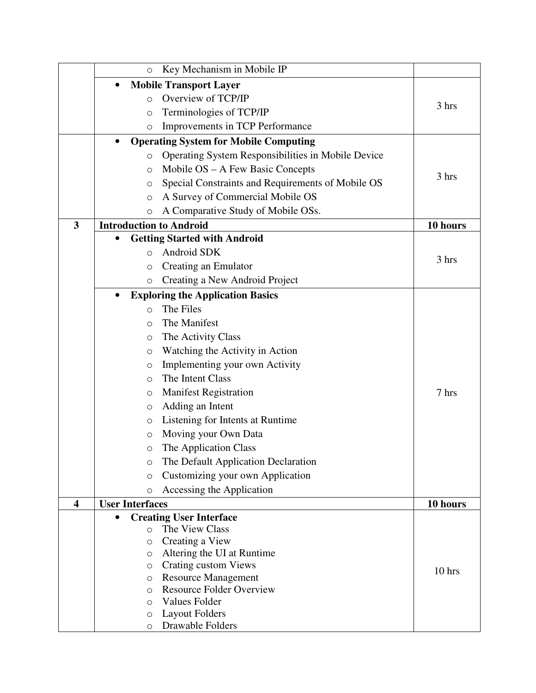|                         | $\circ$                        | Key Mechanism in Mobile IP                                |          |
|-------------------------|--------------------------------|-----------------------------------------------------------|----------|
|                         | $\bullet$                      | <b>Mobile Transport Layer</b>                             |          |
|                         | $\Omega$                       | Overview of TCP/IP                                        |          |
|                         | $\circ$                        | Terminologies of TCP/IP                                   | 3 hrs    |
|                         | $\circ$                        | Improvements in TCP Performance                           |          |
|                         | $\bullet$                      | <b>Operating System for Mobile Computing</b>              |          |
|                         | $\circ$                        | Operating System Responsibilities in Mobile Device        |          |
|                         | $\circ$                        | Mobile OS – A Few Basic Concepts                          |          |
|                         | $\circ$                        | Special Constraints and Requirements of Mobile OS         | 3 hrs    |
|                         | $\circ$                        | A Survey of Commercial Mobile OS                          |          |
|                         | O                              | A Comparative Study of Mobile OSs.                        |          |
| $\overline{\mathbf{3}}$ | <b>Introduction to Android</b> |                                                           | 10 hours |
|                         | $\bullet$                      | <b>Getting Started with Android</b>                       |          |
|                         | O                              | Android SDK                                               |          |
|                         | O                              | Creating an Emulator                                      | 3 hrs    |
|                         | $\circ$                        | Creating a New Android Project                            |          |
|                         | $\bullet$                      | <b>Exploring the Application Basics</b>                   |          |
|                         | $\Omega$                       | The Files                                                 |          |
|                         | $\Omega$                       | The Manifest                                              |          |
|                         | $\circ$                        | The Activity Class                                        |          |
|                         | $\circ$                        | Watching the Activity in Action                           |          |
|                         | O                              | Implementing your own Activity                            |          |
|                         | O                              | The Intent Class                                          |          |
|                         | $\circ$                        | <b>Manifest Registration</b>                              | 7 hrs    |
|                         | $\circ$                        | Adding an Intent                                          |          |
|                         | O                              | Listening for Intents at Runtime                          |          |
|                         | O                              | Moving your Own Data                                      |          |
|                         | O                              | The Application Class                                     |          |
|                         | $\circ$                        | The Default Application Declaration                       |          |
|                         | $\circ$                        | Customizing your own Application                          |          |
|                         | $\circ$                        | Accessing the Application                                 |          |
| $\overline{\mathbf{4}}$ | <b>User Interfaces</b>         |                                                           | 10 hours |
|                         | $\bullet$                      | <b>Creating User Interface</b>                            |          |
|                         | $\circ$                        | The View Class                                            |          |
|                         | $\circ$                        | Creating a View                                           |          |
|                         | $\circ$<br>O                   | Altering the UI at Runtime<br><b>Crating custom Views</b> |          |
|                         | $\circ$                        | <b>Resource Management</b>                                | 10 hrs   |
|                         | $\circ$                        | <b>Resource Folder Overview</b>                           |          |
|                         | $\Omega$                       | Values Folder                                             |          |
|                         | $\circ$                        | <b>Layout Folders</b>                                     |          |
|                         | O                              | Drawable Folders                                          |          |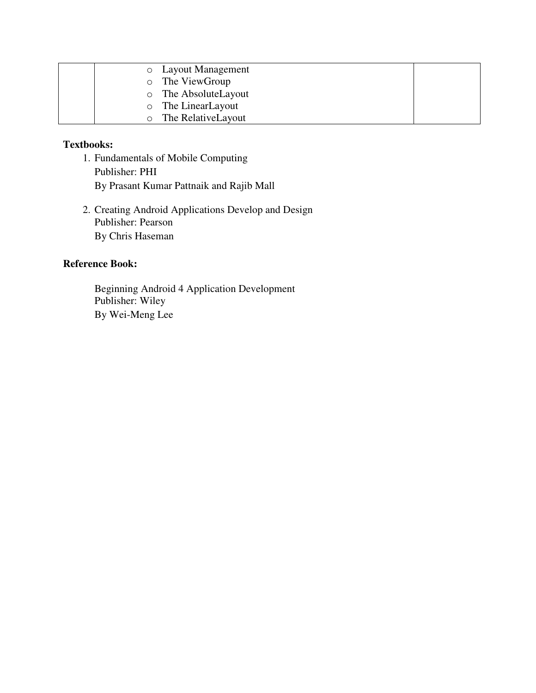|         | <b>O</b> Layout Management |
|---------|----------------------------|
| $\circ$ | The ViewGroup              |
| $\circ$ | The AbsoluteLayout         |
| $\circ$ | The LinearLayout           |
|         | The RelativeLayout         |

- 1. Fundamentals of Mobile Computing Publisher: PHI By Prasant Kumar Pattnaik and Rajib Mall
- 2. Creating Android Applications Develop and Design Publisher: Pearson By Chris Haseman

### **Reference Book:**

Beginning Android 4 Application Development Publisher: Wiley By Wei-Meng Lee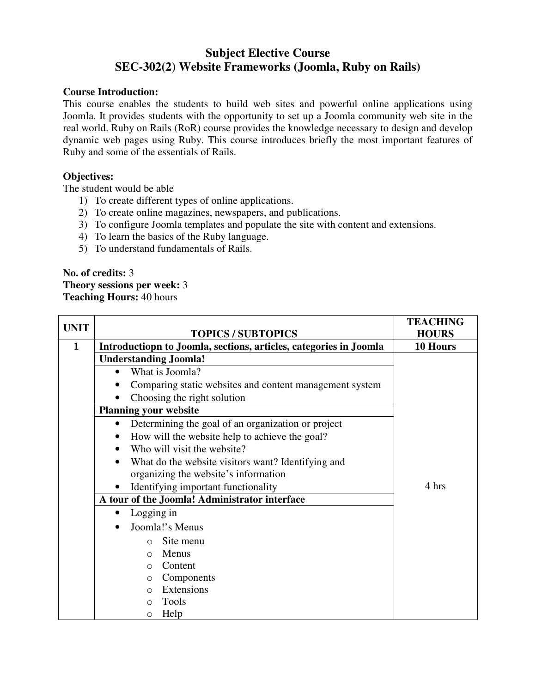# **Subject Elective Course SEC-302(2) Website Frameworks (Joomla, Ruby on Rails)**

### **Course Introduction:**

This course enables the students to build web sites and powerful online applications using Joomla. It provides students with the opportunity to set up a Joomla community web site in the real world. Ruby on Rails (RoR) course provides the knowledge necessary to design and develop dynamic web pages using Ruby. This course introduces briefly the most important features of Ruby and some of the essentials of Rails.

## **Objectives:**

The student would be able

- 1) To create different types of online applications.
- 2) To create online magazines, newspapers, and publications.
- 3) To configure Joomla templates and populate the site with content and extensions.
- 4) To learn the basics of the Ruby language.
- 5) To understand fundamentals of Rails.

### **No. of credits:** 3 **Theory sessions per week:** 3 **Teaching Hours:** 40 hours

| <b>UNIT</b> |                                                                   | <b>TEACHING</b> |
|-------------|-------------------------------------------------------------------|-----------------|
|             | <b>TOPICS / SUBTOPICS</b>                                         | <b>HOURS</b>    |
| 1           | Introductiopn to Joomla, sections, articles, categories in Joomla | 10 Hours        |
|             | <b>Understanding Joomla!</b>                                      |                 |
|             | What is Joomla?<br>$\bullet$                                      |                 |
|             | Comparing static websites and content management system           |                 |
|             | Choosing the right solution                                       |                 |
|             | <b>Planning your website</b>                                      |                 |
|             | Determining the goal of an organization or project<br>$\bullet$   |                 |
|             | How will the website help to achieve the goal?<br>$\bullet$       |                 |
|             | Who will visit the website?                                       |                 |
|             | What do the website visitors want? Identifying and<br>$\bullet$   |                 |
|             | organizing the website's information                              |                 |
|             | Identifying important functionality<br>$\bullet$                  | 4 hrs           |
|             | A tour of the Joomla! Administrator interface                     |                 |
|             | Logging in<br>$\bullet$                                           |                 |
|             | Joomla!'s Menus                                                   |                 |
|             | Site menu<br>$\bigcirc$                                           |                 |
|             | Menus<br>$\Omega$                                                 |                 |
|             | Content<br>$\Omega$                                               |                 |
|             | Components<br>$\circ$                                             |                 |
|             | Extensions<br>$\Omega$                                            |                 |
|             | <b>Tools</b><br>$\Omega$                                          |                 |
|             | Help<br>$\circ$                                                   |                 |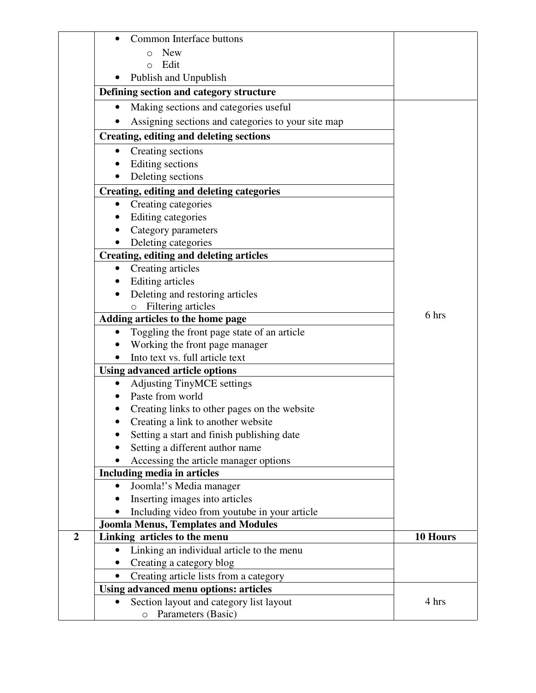|                  | Common Interface buttons                           |          |
|------------------|----------------------------------------------------|----------|
|                  | <b>New</b><br>O                                    |          |
|                  | Edit<br>$\Omega$                                   |          |
|                  | Publish and Unpublish                              |          |
|                  | Defining section and category structure            |          |
|                  | Making sections and categories useful              |          |
|                  | Assigning sections and categories to your site map |          |
|                  | <b>Creating, editing and deleting sections</b>     |          |
|                  | Creating sections                                  |          |
|                  | Editing sections                                   |          |
|                  | Deleting sections                                  |          |
|                  | Creating, editing and deleting categories          |          |
|                  | Creating categories<br>$\bullet$                   |          |
|                  | Editing categories<br>٠                            |          |
|                  | Category parameters                                |          |
|                  | Deleting categories                                |          |
|                  | Creating, editing and deleting articles            |          |
|                  | Creating articles<br>$\bullet$                     |          |
|                  | Editing articles<br>$\bullet$                      |          |
|                  | Deleting and restoring articles                    |          |
|                  | o Filtering articles                               |          |
|                  | Adding articles to the home page                   | 6 hrs    |
|                  | Toggling the front page state of an article        |          |
|                  | Working the front page manager                     |          |
|                  | Into text vs. full article text                    |          |
|                  | <b>Using advanced article options</b>              |          |
|                  | <b>Adjusting TinyMCE settings</b>                  |          |
|                  | Paste from world                                   |          |
|                  | Creating links to other pages on the website       |          |
|                  | Creating a link to another website                 |          |
|                  | Setting a start and finish publishing date         |          |
|                  | Setting a different author name                    |          |
|                  | Accessing the article manager options              |          |
|                  | Including media in articles                        |          |
|                  | Joomla!'s Media manager                            |          |
|                  | Inserting images into articles                     |          |
|                  | Including video from youtube in your article       |          |
|                  | <b>Joomla Menus, Templates and Modules</b>         |          |
| $\boldsymbol{2}$ | Linking articles to the menu                       | 10 Hours |
|                  | Linking an individual article to the menu          |          |
|                  | Creating a category blog                           |          |
|                  | Creating article lists from a category             |          |
|                  | <b>Using advanced menu options: articles</b>       |          |
|                  | Section layout and category list layout            | 4 hrs    |
|                  | Parameters (Basic)<br>$\circ$                      |          |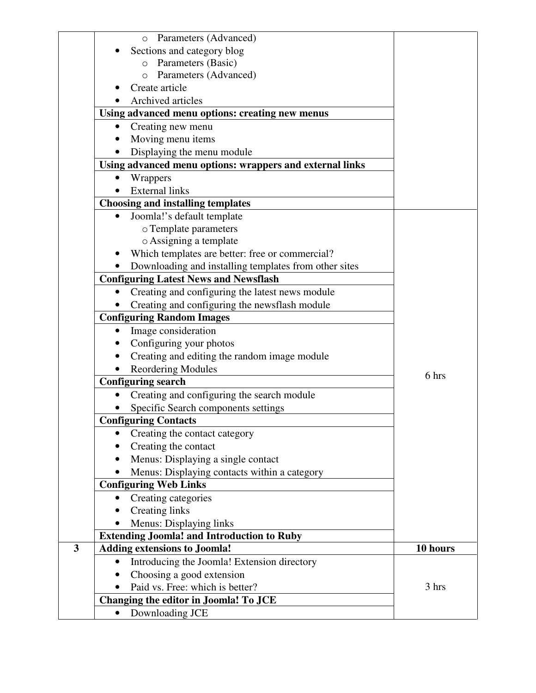|   | Parameters (Advanced)<br>$\circ$                             |          |
|---|--------------------------------------------------------------|----------|
|   | Sections and category blog                                   |          |
|   | Parameters (Basic)<br>$\circ$                                |          |
|   | Parameters (Advanced)<br>$\circ$                             |          |
|   | Create article                                               |          |
|   | Archived articles                                            |          |
|   | Using advanced menu options: creating new menus              |          |
|   | Creating new menu<br>٠                                       |          |
|   | Moving menu items                                            |          |
|   | Displaying the menu module                                   |          |
|   | Using advanced menu options: wrappers and external links     |          |
|   | Wrappers<br>$\bullet$                                        |          |
|   | <b>External links</b>                                        |          |
|   | <b>Choosing and installing templates</b>                     |          |
|   | Joomla!'s default template<br>$\bullet$                      |          |
|   | o Template parameters                                        |          |
|   | o Assigning a template                                       |          |
|   | Which templates are better: free or commercial?<br>$\bullet$ |          |
|   | Downloading and installing templates from other sites        |          |
|   | <b>Configuring Latest News and Newsflash</b>                 |          |
|   | Creating and configuring the latest news module<br>$\bullet$ |          |
|   | Creating and configuring the newsflash module                |          |
|   | <b>Configuring Random Images</b>                             |          |
|   | Image consideration                                          |          |
|   | Configuring your photos<br>٠                                 |          |
|   | Creating and editing the random image module                 |          |
|   | <b>Reordering Modules</b>                                    |          |
|   | <b>Configuring search</b>                                    | 6 hrs    |
|   | Creating and configuring the search module                   |          |
|   | Specific Search components settings                          |          |
|   | <b>Configuring Contacts</b>                                  |          |
|   | Creating the contact category<br>$\bullet$                   |          |
|   | Creating the contact                                         |          |
|   | Menus: Displaying a single contact                           |          |
|   | Menus: Displaying contacts within a category                 |          |
|   | <b>Configuring Web Links</b>                                 |          |
|   | Creating categories<br>$\bullet$                             |          |
|   | <b>Creating links</b>                                        |          |
|   | Menus: Displaying links                                      |          |
|   | <b>Extending Joomla! and Introduction to Ruby</b>            |          |
| 3 | <b>Adding extensions to Joomla!</b>                          | 10 hours |
|   | Introducing the Joomla! Extension directory<br>$\bullet$     |          |
|   | Choosing a good extension                                    |          |
|   | Paid vs. Free: which is better?                              | 3 hrs    |
|   | Changing the editor in Joomla! To JCE                        |          |
|   | Downloading JCE<br>$\bullet$                                 |          |
|   |                                                              |          |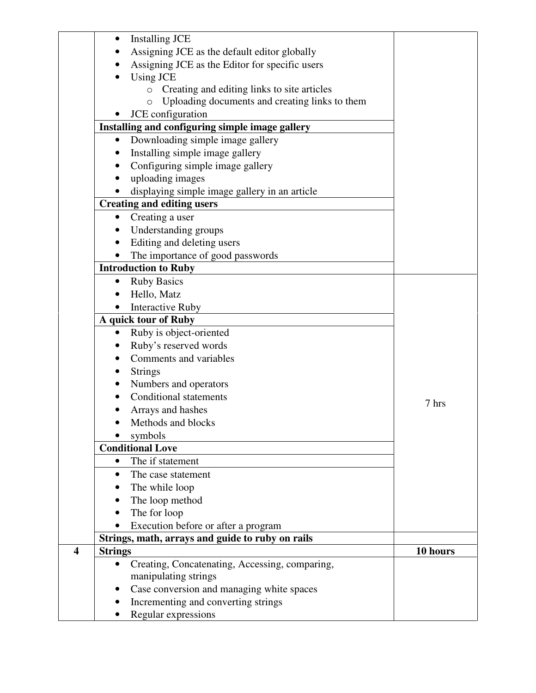|                         | $\bullet$      | <b>Installing JCE</b>                                     |          |
|-------------------------|----------------|-----------------------------------------------------------|----------|
|                         |                | Assigning JCE as the default editor globally              |          |
|                         |                | Assigning JCE as the Editor for specific users            |          |
|                         |                | Using JCE                                                 |          |
|                         |                | o Creating and editing links to site articles             |          |
|                         |                | Uploading documents and creating links to them<br>$\circ$ |          |
|                         |                | JCE configuration                                         |          |
|                         |                | Installing and configuring simple image gallery           |          |
|                         | ٠              | Downloading simple image gallery                          |          |
|                         |                | Installing simple image gallery                           |          |
|                         |                | Configuring simple image gallery                          |          |
|                         |                | uploading images                                          |          |
|                         |                | displaying simple image gallery in an article             |          |
|                         |                | <b>Creating and editing users</b>                         |          |
|                         | $\bullet$      | Creating a user                                           |          |
|                         |                | Understanding groups                                      |          |
|                         | $\bullet$      | Editing and deleting users                                |          |
|                         |                | The importance of good passwords                          |          |
|                         |                | <b>Introduction to Ruby</b>                               |          |
|                         |                | <b>Ruby Basics</b>                                        |          |
|                         |                | Hello, Matz                                               |          |
|                         |                | <b>Interactive Ruby</b>                                   |          |
|                         |                | A quick tour of Ruby                                      |          |
|                         | $\bullet$      | Ruby is object-oriented                                   |          |
|                         |                | Ruby's reserved words                                     |          |
|                         |                | Comments and variables                                    |          |
|                         | ٠              | <b>Strings</b>                                            |          |
|                         | $\bullet$      | Numbers and operators                                     |          |
|                         |                | Conditional statements                                    |          |
|                         |                | Arrays and hashes                                         | 7 hrs    |
|                         |                | Methods and blocks                                        |          |
|                         |                | symbols                                                   |          |
|                         |                | <b>Conditional Love</b>                                   |          |
|                         | ٠              | The if statement                                          |          |
|                         | ٠              | The case statement                                        |          |
|                         |                | The while loop                                            |          |
|                         |                | The loop method                                           |          |
|                         |                | The for loop                                              |          |
|                         |                | Execution before or after a program                       |          |
|                         |                | Strings, math, arrays and guide to ruby on rails          |          |
| $\overline{\mathbf{4}}$ | <b>Strings</b> |                                                           | 10 hours |
|                         |                | Creating, Concatenating, Accessing, comparing,            |          |
|                         |                | manipulating strings                                      |          |
|                         | ٠              | Case conversion and managing white spaces                 |          |
|                         |                | Incrementing and converting strings                       |          |
|                         |                | Regular expressions                                       |          |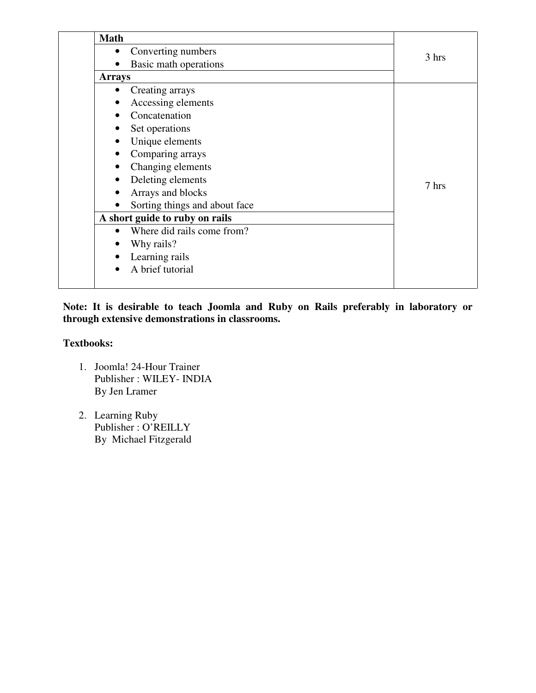| <b>Math</b>   |                                |       |
|---------------|--------------------------------|-------|
| $\bullet$     | Converting numbers             | 3 hrs |
|               | Basic math operations          |       |
| <b>Arrays</b> |                                |       |
| $\bullet$     | Creating arrays                |       |
|               | Accessing elements             |       |
|               | Concatenation                  |       |
|               | Set operations                 |       |
|               | Unique elements                |       |
| ٠             | Comparing arrays               |       |
| $\bullet$     | Changing elements              |       |
| $\bullet$     | Deleting elements              | 7 hrs |
|               | Arrays and blocks              |       |
|               | Sorting things and about face  |       |
|               | A short guide to ruby on rails |       |
| $\bullet$     | Where did rails come from?     |       |
|               | Why rails?                     |       |
|               | Learning rails                 |       |
| $\bullet$     | A brief tutorial               |       |
|               |                                |       |
|               |                                |       |

**Note: It is desirable to teach Joomla and Ruby on Rails preferably in laboratory or through extensive demonstrations in classrooms.** 

## **Textbooks:**

- 1. Joomla! 24-Hour Trainer Publisher : WILEY- INDIA By Jen Lramer
- 2. Learning Ruby Publisher : O'REILLY By Michael Fitzgerald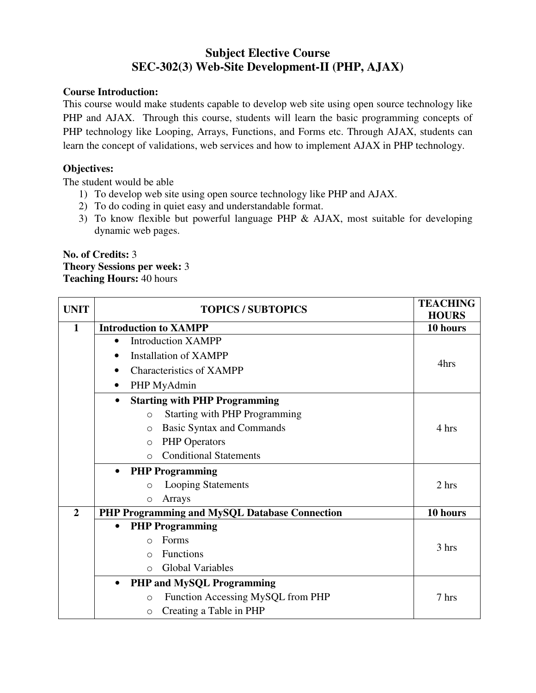# **Subject Elective Course SEC-302(3) Web-Site Development-II (PHP, AJAX)**

## **Course Introduction:**

This course would make students capable to develop web site using open source technology like PHP and AJAX. Through this course, students will learn the basic programming concepts of PHP technology like Looping, Arrays, Functions, and Forms etc. Through AJAX, students can learn the concept of validations, web services and how to implement AJAX in PHP technology.

## **Objectives:**

The student would be able

- 1) To develop web site using open source technology like PHP and AJAX.
- 2) To do coding in quiet easy and understandable format.
- 3) To know flexible but powerful language PHP & AJAX, most suitable for developing dynamic web pages.

7 hrs

# **No. of Credits:** 3 **Theory Sessions per week:** 3

|                | <b>Teaching Hours: 40 hours</b>                   |                                 |
|----------------|---------------------------------------------------|---------------------------------|
| <b>UNIT</b>    | <b>TOPICS / SUBTOPICS</b>                         | <b>TEACHING</b><br><b>HOURS</b> |
| 1              | <b>Introduction to XAMPP</b>                      | 10 hours                        |
|                | <b>Introduction XAMPP</b>                         |                                 |
|                | <b>Installation of XAMPP</b><br>$\bullet$         |                                 |
|                | <b>Characteristics of XAMPP</b><br>٠              | 4hrs                            |
|                | PHP MyAdmin                                       |                                 |
|                | <b>Starting with PHP Programming</b><br>$\bullet$ |                                 |
|                | <b>Starting with PHP Programming</b><br>$\circ$   |                                 |
|                | <b>Basic Syntax and Commands</b><br>$\circ$       | 4 hrs                           |
|                | <b>PHP</b> Operators<br>$\Omega$                  |                                 |
|                | <b>Conditional Statements</b><br>$\bigcirc$       |                                 |
|                | <b>PHP Programming</b><br>$\bullet$               |                                 |
|                | <b>Looping Statements</b><br>$\circ$              | 2 hrs                           |
|                | Arrays<br>$\circ$                                 |                                 |
| $\overline{2}$ | PHP Programming and MySQL Database Connection     | 10 hours                        |
|                | <b>PHP Programming</b><br>$\bullet$               |                                 |
|                | Forms<br>$\Omega$                                 | 3 hrs                           |
|                | Functions<br>$\bigcirc$                           |                                 |
|                | Global Variables<br>$\circ$                       |                                 |

• **PHP and MySQL Programming**  o Function Accessing MySQL from PHP o Creating a Table in PHP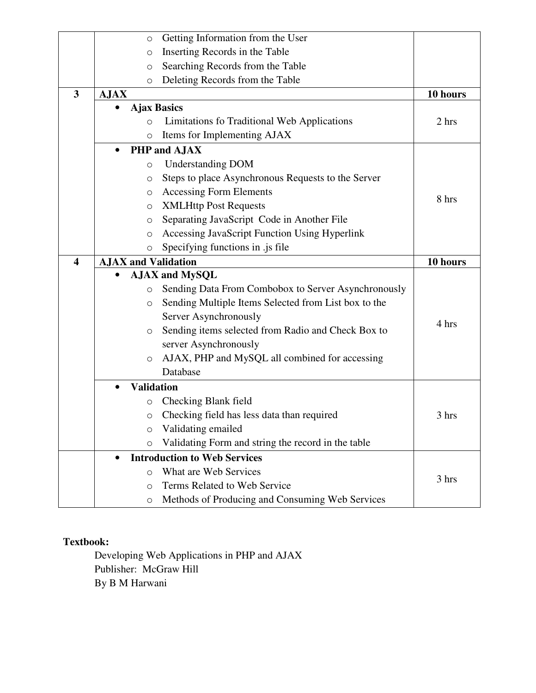|                         | $\circ$                    | Getting Information from the User                    |          |
|-------------------------|----------------------------|------------------------------------------------------|----------|
|                         | $\circ$                    | Inserting Records in the Table                       |          |
|                         | $\circ$                    | Searching Records from the Table                     |          |
|                         | $\circ$                    | Deleting Records from the Table                      |          |
| $\overline{\mathbf{3}}$ | <b>AJAX</b>                |                                                      | 10 hours |
|                         |                            | <b>Ajax Basics</b>                                   |          |
|                         | $\circ$                    | Limitations fo Traditional Web Applications          | 2 hrs    |
|                         | $\circ$                    | Items for Implementing AJAX                          |          |
|                         | $\bullet$                  | PHP and AJAX                                         |          |
|                         | $\circ$                    | <b>Understanding DOM</b>                             |          |
|                         | $\circ$                    | Steps to place Asynchronous Requests to the Server   |          |
|                         | $\circ$                    | <b>Accessing Form Elements</b>                       |          |
|                         | $\circ$                    | <b>XMLHttp Post Requests</b>                         | 8 hrs    |
|                         | O                          | Separating JavaScript Code in Another File           |          |
|                         | $\circ$                    | Accessing JavaScript Function Using Hyperlink        |          |
|                         | $\circ$                    | Specifying functions in .js file                     |          |
| $\overline{\mathbf{4}}$ | <b>AJAX</b> and Validation |                                                      | 10 hours |
|                         |                            | <b>AJAX and MySQL</b>                                |          |
|                         | $\circ$                    | Sending Data From Combobox to Server Asynchronously  |          |
|                         | $\circ$                    | Sending Multiple Items Selected from List box to the |          |
|                         |                            | Server Asynchronously                                | 4 hrs    |
|                         | $\circ$                    | Sending items selected from Radio and Check Box to   |          |
|                         |                            | server Asynchronously                                |          |
|                         | $\circ$                    | AJAX, PHP and MySQL all combined for accessing       |          |
|                         |                            | Database                                             |          |
|                         | <b>Validation</b>          |                                                      |          |
|                         | $\circ$                    | Checking Blank field                                 |          |
|                         | $\circ$                    | Checking field has less data than required           | 3 hrs    |
|                         | O                          | Validating emailed                                   |          |
|                         | $\circ$                    | Validating Form and string the record in the table   |          |
|                         | $\bullet$                  | <b>Introduction to Web Services</b>                  |          |
|                         | O                          | What are Web Services                                | 3 hrs    |
|                         | $\circ$                    | Terms Related to Web Service                         |          |
|                         | $\circ$                    | Methods of Producing and Consuming Web Services      |          |

Developing Web Applications in PHP and AJAX Publisher: McGraw Hill By B M Harwani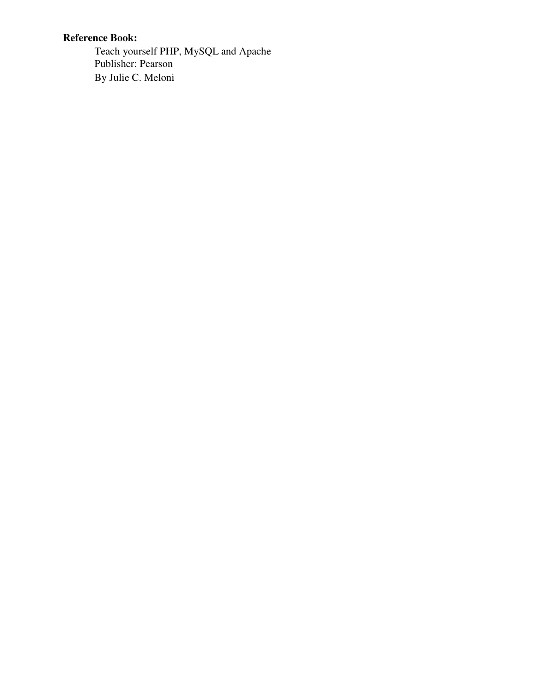# **Reference Book:**

Teach yourself PHP, MySQL and Apache Publisher: Pearson By Julie C. Meloni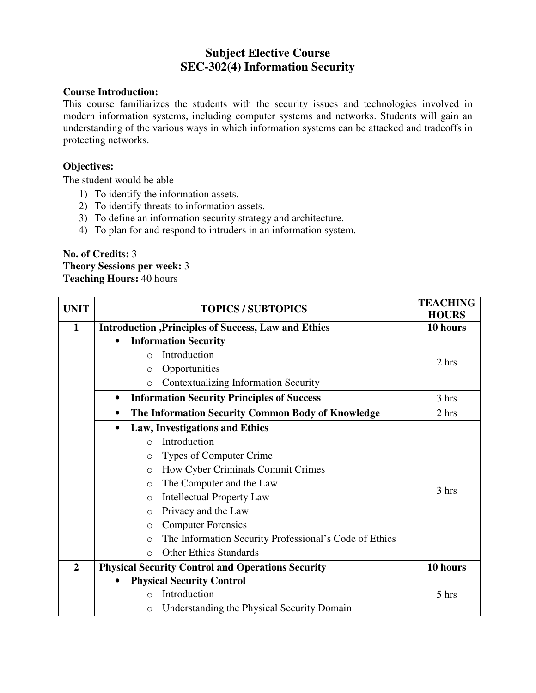# **Subject Elective Course SEC-302(4) Information Security**

### **Course Introduction:**

This course familiarizes the students with the security issues and technologies involved in modern information systems, including computer systems and networks. Students will gain an understanding of the various ways in which information systems can be attacked and tradeoffs in protecting networks.

### **Objectives:**

The student would be able

- 1) To identify the information assets.
- 2) To identify threats to information assets.
- 3) To define an information security strategy and architecture.
- 4) To plan for and respond to intruders in an information system.

#### **No. of Credits:** 3 **Theory Sessions per week:** 3 **Teaching Hours:** 40 hours

| <b>UNIT</b>    | <b>TOPICS / SUBTOPICS</b>                                          | <b>TEACHING</b><br><b>HOURS</b> |
|----------------|--------------------------------------------------------------------|---------------------------------|
| $\mathbf{1}$   | <b>Introduction , Principles of Success, Law and Ethics</b>        | 10 hours                        |
|                | <b>Information Security</b><br>$\bullet$                           |                                 |
|                | Introduction<br>$\bigcirc$                                         | 2 hrs                           |
|                | Opportunities<br>$\circ$                                           |                                 |
|                | <b>Contextualizing Information Security</b><br>$\circ$             |                                 |
|                | <b>Information Security Principles of Success</b><br>$\bullet$     | 3 hrs                           |
|                | The Information Security Common Body of Knowledge<br>$\bullet$     | 2 hrs                           |
|                | <b>Law, Investigations and Ethics</b><br>$\bullet$                 |                                 |
|                | Introduction<br>$\bigcirc$                                         |                                 |
|                | Types of Computer Crime<br>$\circ$                                 |                                 |
|                | How Cyber Criminals Commit Crimes<br>$\circ$                       |                                 |
|                | The Computer and the Law<br>$\circ$                                | 3 hrs                           |
|                | <b>Intellectual Property Law</b><br>$\circ$                        |                                 |
|                | Privacy and the Law<br>$\circ$                                     |                                 |
|                | <b>Computer Forensics</b><br>$\circ$                               |                                 |
|                | The Information Security Professional's Code of Ethics<br>$\Omega$ |                                 |
|                | <b>Other Ethics Standards</b><br>$\Omega$                          |                                 |
| $\overline{2}$ | <b>Physical Security Control and Operations Security</b>           | 10 hours                        |
|                | <b>Physical Security Control</b><br>$\bullet$                      |                                 |
|                | Introduction<br>$\circ$                                            | 5 hrs                           |
|                | Understanding the Physical Security Domain<br>$\circ$              |                                 |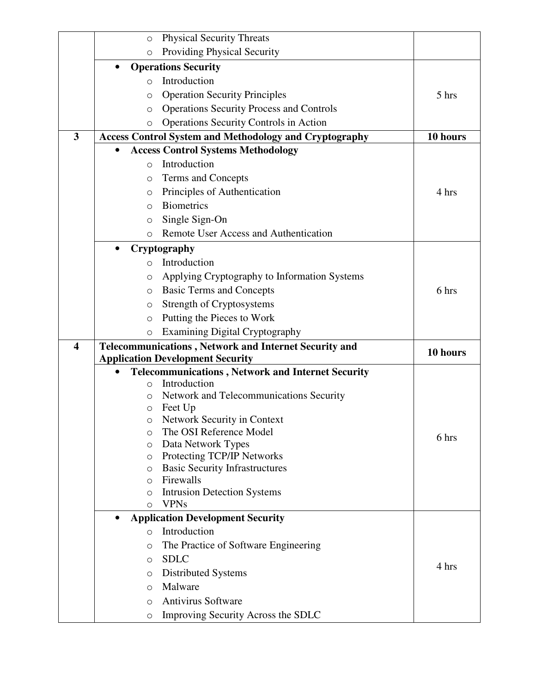|                         | <b>Physical Security Threats</b><br>$\circ$                                |          |
|-------------------------|----------------------------------------------------------------------------|----------|
|                         | <b>Providing Physical Security</b><br>$\circ$                              |          |
|                         | <b>Operations Security</b><br>$\bullet$                                    |          |
|                         | Introduction<br>$\Omega$                                                   |          |
|                         | <b>Operation Security Principles</b><br>$\circ$                            | 5 hrs    |
|                         | <b>Operations Security Process and Controls</b><br>$\circ$                 |          |
|                         | <b>Operations Security Controls in Action</b><br>$\circ$                   |          |
| 3                       | <b>Access Control System and Methodology and Cryptography</b>              | 10 hours |
|                         | <b>Access Control Systems Methodology</b>                                  |          |
|                         | Introduction<br>$\Omega$                                                   |          |
|                         | Terms and Concepts<br>$\circ$                                              |          |
|                         | Principles of Authentication<br>$\circ$                                    | 4 hrs    |
|                         | <b>Biometrics</b><br>$\Omega$                                              |          |
|                         | Single Sign-On<br>$\circ$                                                  |          |
|                         | Remote User Access and Authentication<br>$\circ$                           |          |
|                         | Cryptography<br>$\bullet$                                                  |          |
|                         | Introduction<br>$\circ$                                                    |          |
|                         | Applying Cryptography to Information Systems<br>$\circ$                    |          |
|                         | <b>Basic Terms and Concepts</b><br>$\circ$                                 | 6 hrs    |
|                         | Strength of Cryptosystems<br>O                                             |          |
|                         | Putting the Pieces to Work<br>$\circ$                                      |          |
|                         | <b>Examining Digital Cryptography</b><br>$\circ$                           |          |
| $\overline{\mathbf{4}}$ | <b>Telecommunications, Network and Internet Security and</b>               | 10 hours |
|                         | <b>Application Development Security</b>                                    |          |
|                         | <b>Telecommunications, Network and Internet Security</b>                   |          |
|                         | Introduction<br>$\Omega$                                                   |          |
|                         | Network and Telecommunications Security<br>$\circ$                         |          |
|                         | Feet Up<br>O<br>Network Security in Context<br>0                           |          |
|                         | The OSI Reference Model<br>$\circ$                                         |          |
|                         | Data Network Types<br>$\circ$                                              | 6 hrs    |
|                         | Protecting TCP/IP Networks<br>$\circ$                                      |          |
|                         | <b>Basic Security Infrastructures</b><br>O                                 |          |
|                         | Firewalls<br>$\Omega$                                                      |          |
|                         | <b>Intrusion Detection Systems</b><br>$\circ$                              |          |
|                         | <b>VPNs</b><br>$\circ$                                                     |          |
|                         | <b>Application Development Security</b><br>$\bullet$                       |          |
|                         | Introduction<br>$\circ$                                                    |          |
|                         | The Practice of Software Engineering<br>$\circ$                            |          |
|                         | <b>SDLC</b><br>$\circ$                                                     | 4 hrs    |
|                         | $\circ$                                                                    |          |
|                         | Distributed Systems                                                        |          |
|                         | Malware<br>$\circ$                                                         |          |
|                         | <b>Antivirus Software</b><br>$\circ$<br>Improving Security Across the SDLC |          |